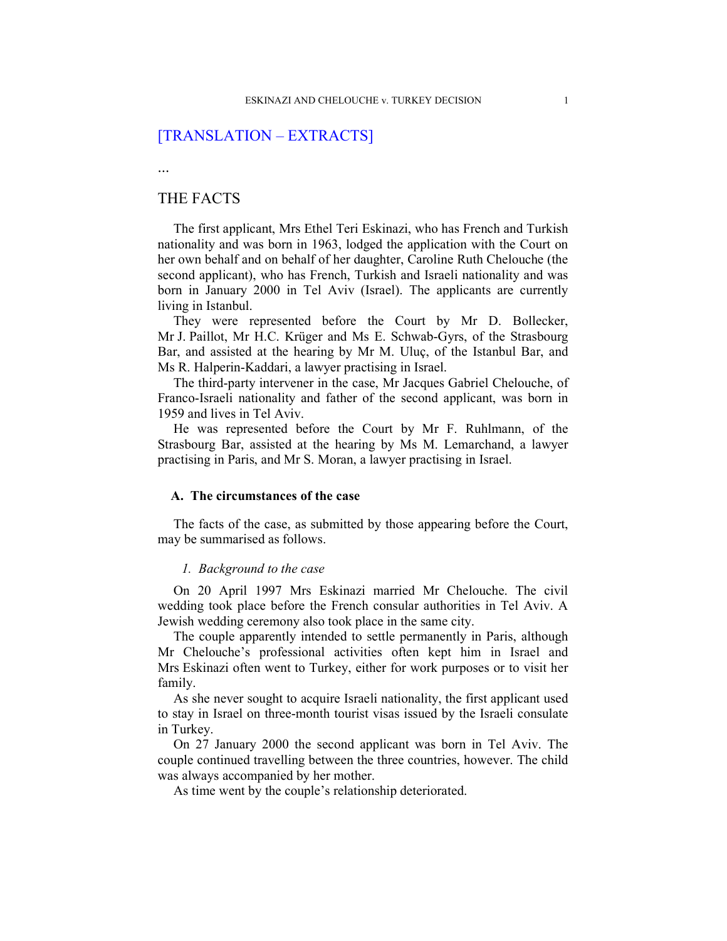# [TRANSLATION – EXTRACTS]

...

# THE FACTS

The first applicant, Mrs Ethel Teri Eskinazi, who has French and Turkish nationality and was born in 1963, lodged the application with the Court on her own behalf and on behalf of her daughter, Caroline Ruth Chelouche (the second applicant), who has French, Turkish and Israeli nationality and was born in January 2000 in Tel Aviv (Israel). The applicants are currently living in Istanbul.

They were represented before the Court by Mr D. Bollecker, Mr J. Paillot, Mr H.C. Krüger and Ms E. Schwab-Gyrs, of the Strasbourg Bar, and assisted at the hearing by Mr M. Uluç, of the Istanbul Bar, and Ms R. Halperin-Kaddari, a lawyer practising in Israel.

The third-party intervener in the case, Mr Jacques Gabriel Chelouche, of Franco-Israeli nationality and father of the second applicant, was born in 1959 and lives in Tel Aviv.

He was represented before the Court by Mr F. Ruhlmann, of the Strasbourg Bar, assisted at the hearing by Ms M. Lemarchand, a lawyer practising in Paris, and Mr S. Moran, a lawyer practising in Israel.

# A. The circumstances of the case

The facts of the case, as submitted by those appearing before the Court, may be summarised as follows.

# 1. Background to the case

On 20 April 1997 Mrs Eskinazi married Mr Chelouche. The civil wedding took place before the French consular authorities in Tel Aviv. A Jewish wedding ceremony also took place in the same city.

The couple apparently intended to settle permanently in Paris, although Mr Chelouche's professional activities often kept him in Israel and Mrs Eskinazi often went to Turkey, either for work purposes or to visit her family.

As she never sought to acquire Israeli nationality, the first applicant used to stay in Israel on three-month tourist visas issued by the Israeli consulate in Turkey.

On 27 January 2000 the second applicant was born in Tel Aviv. The couple continued travelling between the three countries, however. The child was always accompanied by her mother.

As time went by the couple's relationship deteriorated.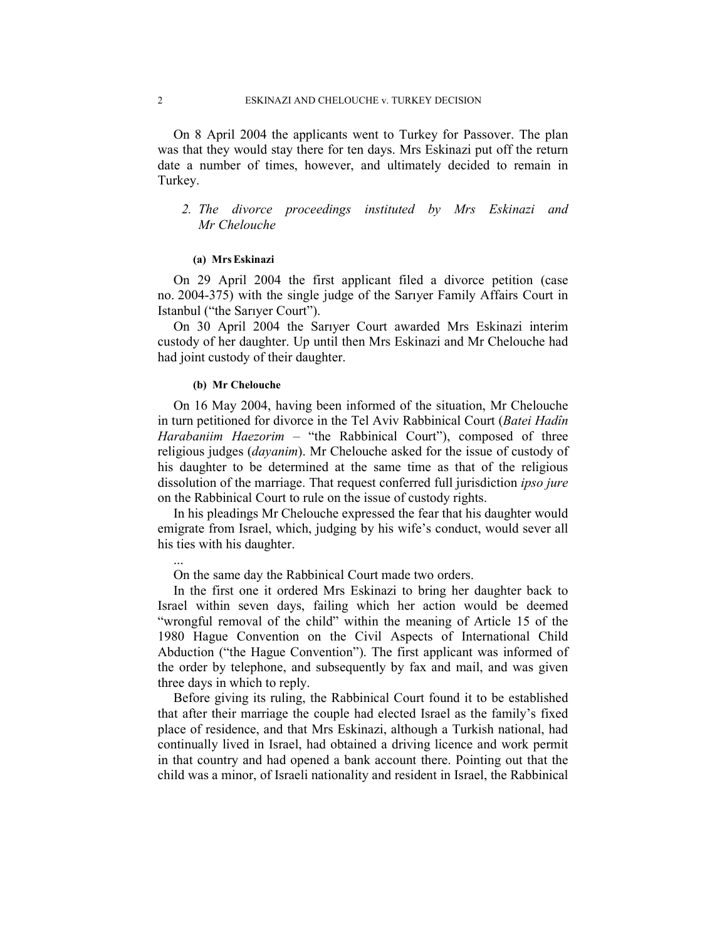On 8 April 2004 the applicants went to Turkey for Passover. The plan was that they would stay there for ten days. Mrs Eskinazi put off the return date a number of times, however, and ultimately decided to remain in Turkey.

# 2. The divorce proceedings instituted by Mrs Eskinazi and Mr Chelouche

#### (a) MrsEskinazi

On 29 April 2004 the first applicant filed a divorce petition (case no. 2004-375) with the single judge of the Sarıyer Family Affairs Court in Istanbul ("the Sarıyer Court").

On 30 April 2004 the Sarıyer Court awarded Mrs Eskinazi interim custody of her daughter. Up until then Mrs Eskinazi and Mr Chelouche had had joint custody of their daughter.

### (b) Mr Chelouche

...

On 16 May 2004, having been informed of the situation, Mr Chelouche in turn petitioned for divorce in the Tel Aviv Rabbinical Court (Batei Hadîn Harabaniim Haezorim – "the Rabbinical Court"), composed of three religious judges (*dayanim*). Mr Chelouche asked for the issue of custody of his daughter to be determined at the same time as that of the religious dissolution of the marriage. That request conferred full jurisdiction *ipso jure* on the Rabbinical Court to rule on the issue of custody rights.

In his pleadings Mr Chelouche expressed the fear that his daughter would emigrate from Israel, which, judging by his wife's conduct, would sever all his ties with his daughter.

On the same day the Rabbinical Court made two orders.

In the first one it ordered Mrs Eskinazi to bring her daughter back to Israel within seven days, failing which her action would be deemed "wrongful removal of the child" within the meaning of Article 15 of the 1980 Hague Convention on the Civil Aspects of International Child Abduction ("the Hague Convention"). The first applicant was informed of the order by telephone, and subsequently by fax and mail, and was given three days in which to reply.

Before giving its ruling, the Rabbinical Court found it to be established that after their marriage the couple had elected Israel as the family's fixed place of residence, and that Mrs Eskinazi, although a Turkish national, had continually lived in Israel, had obtained a driving licence and work permit in that country and had opened a bank account there. Pointing out that the child was a minor, of Israeli nationality and resident in Israel, the Rabbinical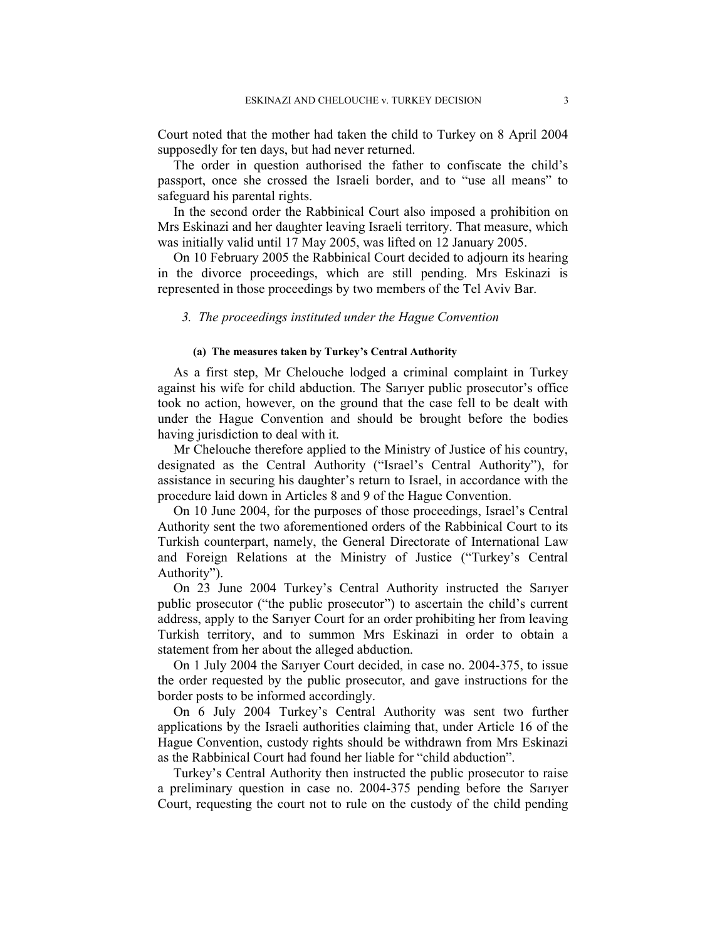Court noted that the mother had taken the child to Turkey on 8 April 2004 supposedly for ten days, but had never returned.

The order in question authorised the father to confiscate the child's passport, once she crossed the Israeli border, and to "use all means" to safeguard his parental rights.

In the second order the Rabbinical Court also imposed a prohibition on Mrs Eskinazi and her daughter leaving Israeli territory. That measure, which was initially valid until 17 May 2005, was lifted on 12 January 2005.

On 10 February 2005 the Rabbinical Court decided to adjourn its hearing in the divorce proceedings, which are still pending. Mrs Eskinazi is represented in those proceedings by two members of the Tel Aviv Bar.

# 3. The proceedings instituted under the Hague Convention

# (a) The measures taken by Turkey's Central Authority

As a first step, Mr Chelouche lodged a criminal complaint in Turkey against his wife for child abduction. The Sarıyer public prosecutor's office took no action, however, on the ground that the case fell to be dealt with under the Hague Convention and should be brought before the bodies having jurisdiction to deal with it.

Mr Chelouche therefore applied to the Ministry of Justice of his country, designated as the Central Authority ("Israel's Central Authority"), for assistance in securing his daughter's return to Israel, in accordance with the procedure laid down in Articles 8 and 9 of the Hague Convention.

On 10 June 2004, for the purposes of those proceedings, Israel's Central Authority sent the two aforementioned orders of the Rabbinical Court to its Turkish counterpart, namely, the General Directorate of International Law and Foreign Relations at the Ministry of Justice ("Turkey's Central Authority").

On 23 June 2004 Turkey's Central Authority instructed the Sarıyer public prosecutor ("the public prosecutor") to ascertain the child's current address, apply to the Sarıyer Court for an order prohibiting her from leaving Turkish territory, and to summon Mrs Eskinazi in order to obtain a statement from her about the alleged abduction.

On 1 July 2004 the Sarıyer Court decided, in case no. 2004-375, to issue the order requested by the public prosecutor, and gave instructions for the border posts to be informed accordingly.

On 6 July 2004 Turkey's Central Authority was sent two further applications by the Israeli authorities claiming that, under Article 16 of the Hague Convention, custody rights should be withdrawn from Mrs Eskinazi as the Rabbinical Court had found her liable for "child abduction".

Turkey's Central Authority then instructed the public prosecutor to raise a preliminary question in case no. 2004-375 pending before the Sarıyer Court, requesting the court not to rule on the custody of the child pending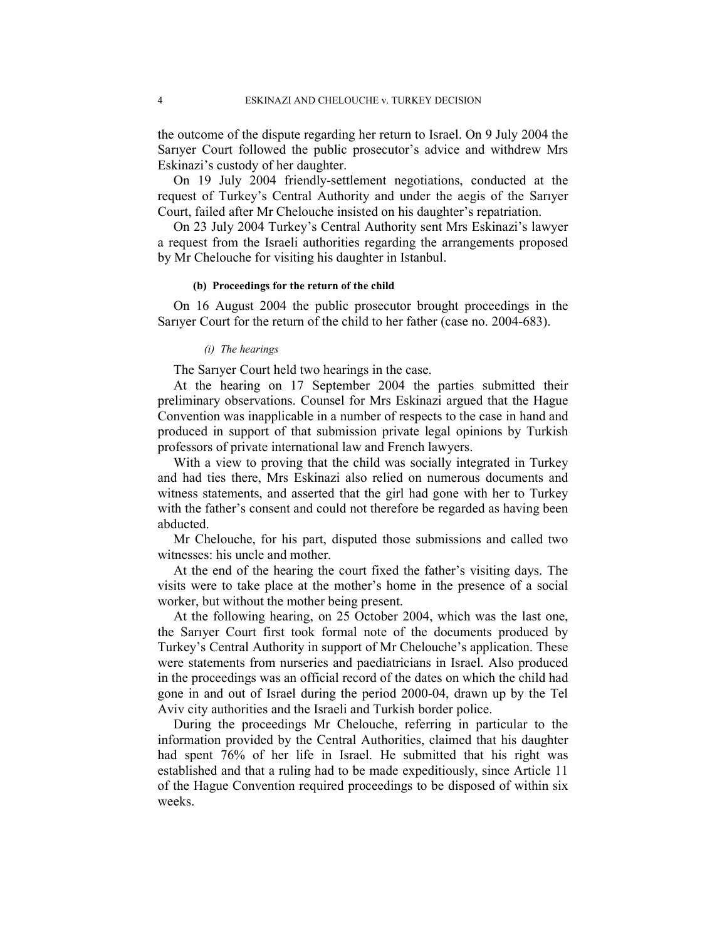the outcome of the dispute regarding her return to Israel. On 9 July 2004 the Sarıyer Court followed the public prosecutor's advice and withdrew Mrs Eskinazi's custody of her daughter.

On 19 July 2004 friendly-settlement negotiations, conducted at the request of Turkey's Central Authority and under the aegis of the Sarıyer Court, failed after Mr Chelouche insisted on his daughter's repatriation.

On 23 July 2004 Turkey's Central Authority sent Mrs Eskinazi's lawyer a request from the Israeli authorities regarding the arrangements proposed by Mr Chelouche for visiting his daughter in Istanbul.

## (b) Proceedings for the return of the child

On 16 August 2004 the public prosecutor brought proceedings in the Sarıyer Court for the return of the child to her father (case no. 2004-683).

### (i) The hearings

The Sarıyer Court held two hearings in the case.

At the hearing on 17 September 2004 the parties submitted their preliminary observations. Counsel for Mrs Eskinazi argued that the Hague Convention was inapplicable in a number of respects to the case in hand and produced in support of that submission private legal opinions by Turkish professors of private international law and French lawyers.

With a view to proving that the child was socially integrated in Turkey and had ties there, Mrs Eskinazi also relied on numerous documents and witness statements, and asserted that the girl had gone with her to Turkey with the father's consent and could not therefore be regarded as having been abducted.

Mr Chelouche, for his part, disputed those submissions and called two witnesses: his uncle and mother.

At the end of the hearing the court fixed the father's visiting days. The visits were to take place at the mother's home in the presence of a social worker, but without the mother being present.

At the following hearing, on 25 October 2004, which was the last one, the Sarıyer Court first took formal note of the documents produced by Turkey's Central Authority in support of Mr Chelouche's application. These were statements from nurseries and paediatricians in Israel. Also produced in the proceedings was an official record of the dates on which the child had gone in and out of Israel during the period 2000-04, drawn up by the Tel Aviv city authorities and the Israeli and Turkish border police.

During the proceedings Mr Chelouche, referring in particular to the information provided by the Central Authorities, claimed that his daughter had spent 76% of her life in Israel. He submitted that his right was established and that a ruling had to be made expeditiously, since Article 11 of the Hague Convention required proceedings to be disposed of within six weeks.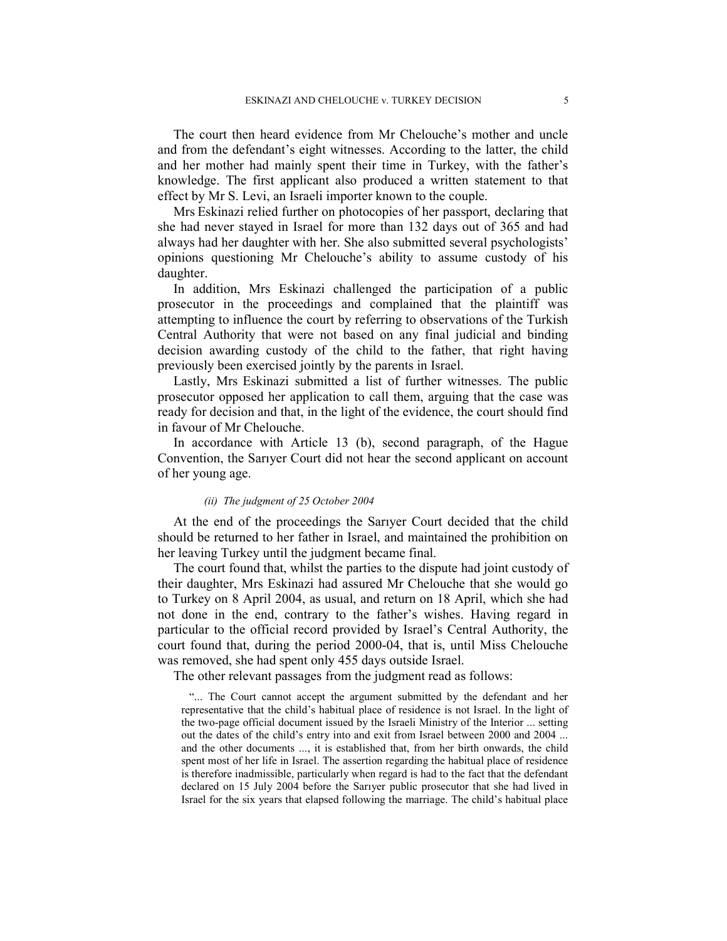The court then heard evidence from Mr Chelouche's mother and uncle and from the defendant's eight witnesses. According to the latter, the child and her mother had mainly spent their time in Turkey, with the father's knowledge. The first applicant also produced a written statement to that effect by Mr S. Levi, an Israeli importer known to the couple.

Mrs Eskinazi relied further on photocopies of her passport, declaring that she had never stayed in Israel for more than 132 days out of 365 and had always had her daughter with her. She also submitted several psychologists' opinions questioning Mr Chelouche's ability to assume custody of his daughter.

In addition, Mrs Eskinazi challenged the participation of a public prosecutor in the proceedings and complained that the plaintiff was attempting to influence the court by referring to observations of the Turkish Central Authority that were not based on any final judicial and binding decision awarding custody of the child to the father, that right having previously been exercised jointly by the parents in Israel.

Lastly, Mrs Eskinazi submitted a list of further witnesses. The public prosecutor opposed her application to call them, arguing that the case was ready for decision and that, in the light of the evidence, the court should find in favour of Mr Chelouche.

In accordance with Article 13 (b), second paragraph, of the Hague Convention, the Sarıyer Court did not hear the second applicant on account of her young age.

# (ii) The judgment of 25 October 2004

At the end of the proceedings the Sarıyer Court decided that the child should be returned to her father in Israel, and maintained the prohibition on her leaving Turkey until the judgment became final.

The court found that, whilst the parties to the dispute had joint custody of their daughter, Mrs Eskinazi had assured Mr Chelouche that she would go to Turkey on 8 April 2004, as usual, and return on 18 April, which she had not done in the end, contrary to the father's wishes. Having regard in particular to the official record provided by Israel's Central Authority, the court found that, during the period 2000-04, that is, until Miss Chelouche was removed, she had spent only 455 days outside Israel.

The other relevant passages from the judgment read as follows:

"... The Court cannot accept the argument submitted by the defendant and her representative that the child's habitual place of residence is not Israel. In the light of the two-page official document issued by the Israeli Ministry of the Interior ... setting out the dates of the child's entry into and exit from Israel between 2000 and 2004 ... and the other documents ..., it is established that, from her birth onwards, the child spent most of her life in Israel. The assertion regarding the habitual place of residence is therefore inadmissible, particularly when regard is had to the fact that the defendant declared on 15 July 2004 before the Sarıyer public prosecutor that she had lived in Israel for the six years that elapsed following the marriage. The child's habitual place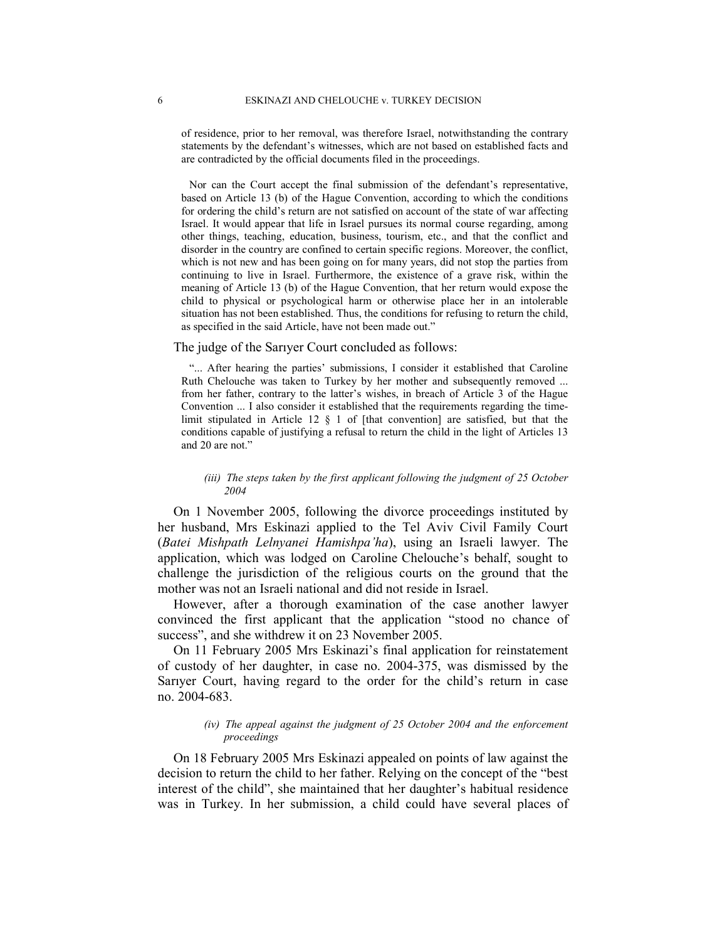of residence, prior to her removal, was therefore Israel, notwithstanding the contrary statements by the defendant's witnesses, which are not based on established facts and are contradicted by the official documents filed in the proceedings.

Nor can the Court accept the final submission of the defendant's representative, based on Article 13 (b) of the Hague Convention, according to which the conditions for ordering the child's return are not satisfied on account of the state of war affecting Israel. It would appear that life in Israel pursues its normal course regarding, among other things, teaching, education, business, tourism, etc., and that the conflict and disorder in the country are confined to certain specific regions. Moreover, the conflict, which is not new and has been going on for many years, did not stop the parties from continuing to live in Israel. Furthermore, the existence of a grave risk, within the meaning of Article 13 (b) of the Hague Convention, that her return would expose the child to physical or psychological harm or otherwise place her in an intolerable situation has not been established. Thus, the conditions for refusing to return the child, as specified in the said Article, have not been made out."

### The judge of the Sarıyer Court concluded as follows:

"... After hearing the parties' submissions, I consider it established that Caroline Ruth Chelouche was taken to Turkey by her mother and subsequently removed ... from her father, contrary to the latter's wishes, in breach of Article 3 of the Hague Convention ... I also consider it established that the requirements regarding the timelimit stipulated in Article 12  $\S$  1 of [that convention] are satisfied, but that the conditions capable of justifying a refusal to return the child in the light of Articles 13 and 20 are not."

## (iii) The steps taken by the first applicant following the judgment of 25 October 2004

On 1 November 2005, following the divorce proceedings instituted by her husband, Mrs Eskinazi applied to the Tel Aviv Civil Family Court (Batei Mishpath Lelnyanei Hamishpa'ha), using an Israeli lawyer. The application, which was lodged on Caroline Chelouche's behalf, sought to challenge the jurisdiction of the religious courts on the ground that the mother was not an Israeli national and did not reside in Israel.

However, after a thorough examination of the case another lawyer convinced the first applicant that the application "stood no chance of success", and she withdrew it on 23 November 2005.

On 11 February 2005 Mrs Eskinazi's final application for reinstatement of custody of her daughter, in case no. 2004-375, was dismissed by the Sarıyer Court, having regard to the order for the child's return in case no. 2004-683.

# (iv) The appeal against the judgment of 25 October 2004 and the enforcement proceedings

On 18 February 2005 Mrs Eskinazi appealed on points of law against the decision to return the child to her father. Relying on the concept of the "best interest of the child", she maintained that her daughter's habitual residence was in Turkey. In her submission, a child could have several places of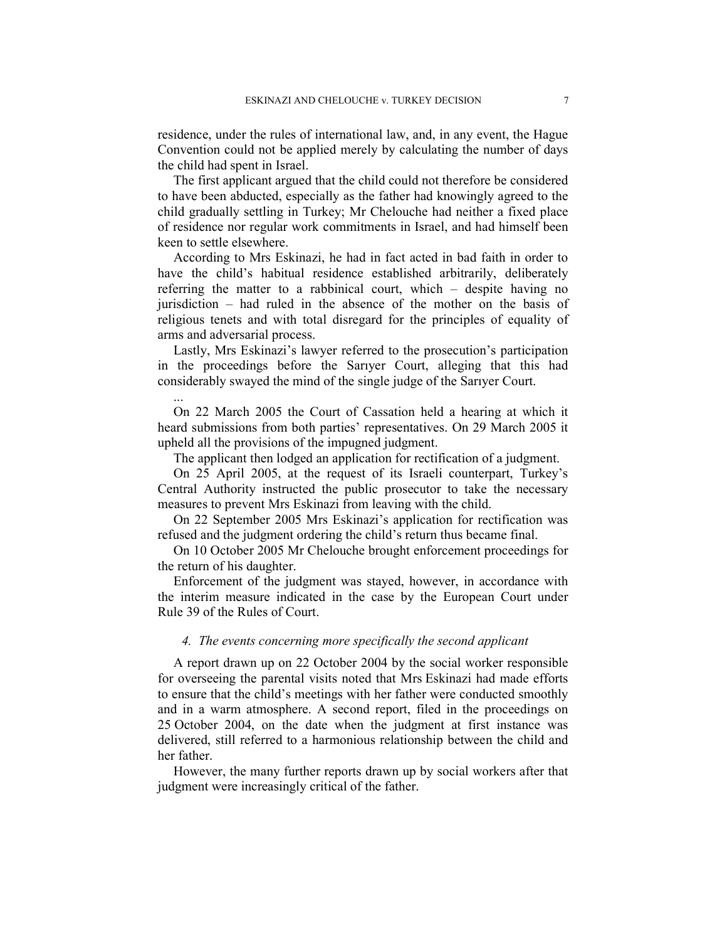residence, under the rules of international law, and, in any event, the Hague Convention could not be applied merely by calculating the number of days the child had spent in Israel.

The first applicant argued that the child could not therefore be considered to have been abducted, especially as the father had knowingly agreed to the child gradually settling in Turkey; Mr Chelouche had neither a fixed place of residence nor regular work commitments in Israel, and had himself been keen to settle elsewhere.

According to Mrs Eskinazi, he had in fact acted in bad faith in order to have the child's habitual residence established arbitrarily, deliberately referring the matter to a rabbinical court, which – despite having no jurisdiction – had ruled in the absence of the mother on the basis of religious tenets and with total disregard for the principles of equality of arms and adversarial process.

Lastly, Mrs Eskinazi's lawyer referred to the prosecution's participation in the proceedings before the Sarıyer Court, alleging that this had considerably swayed the mind of the single judge of the Sarıyer Court.

...

On 22 March 2005 the Court of Cassation held a hearing at which it heard submissions from both parties' representatives. On 29 March 2005 it upheld all the provisions of the impugned judgment.

The applicant then lodged an application for rectification of a judgment.

On 25 April 2005, at the request of its Israeli counterpart, Turkey's Central Authority instructed the public prosecutor to take the necessary measures to prevent Mrs Eskinazi from leaving with the child.

On 22 September 2005 Mrs Eskinazi's application for rectification was refused and the judgment ordering the child's return thus became final.

On 10 October 2005 Mr Chelouche brought enforcement proceedings for the return of his daughter.

Enforcement of the judgment was stayed, however, in accordance with the interim measure indicated in the case by the European Court under Rule 39 of the Rules of Court.

# 4. The events concerning more specifically the second applicant

A report drawn up on 22 October 2004 by the social worker responsible for overseeing the parental visits noted that Mrs Eskinazi had made efforts to ensure that the child's meetings with her father were conducted smoothly and in a warm atmosphere. A second report, filed in the proceedings on 25 October 2004, on the date when the judgment at first instance was delivered, still referred to a harmonious relationship between the child and her father.

However, the many further reports drawn up by social workers after that judgment were increasingly critical of the father.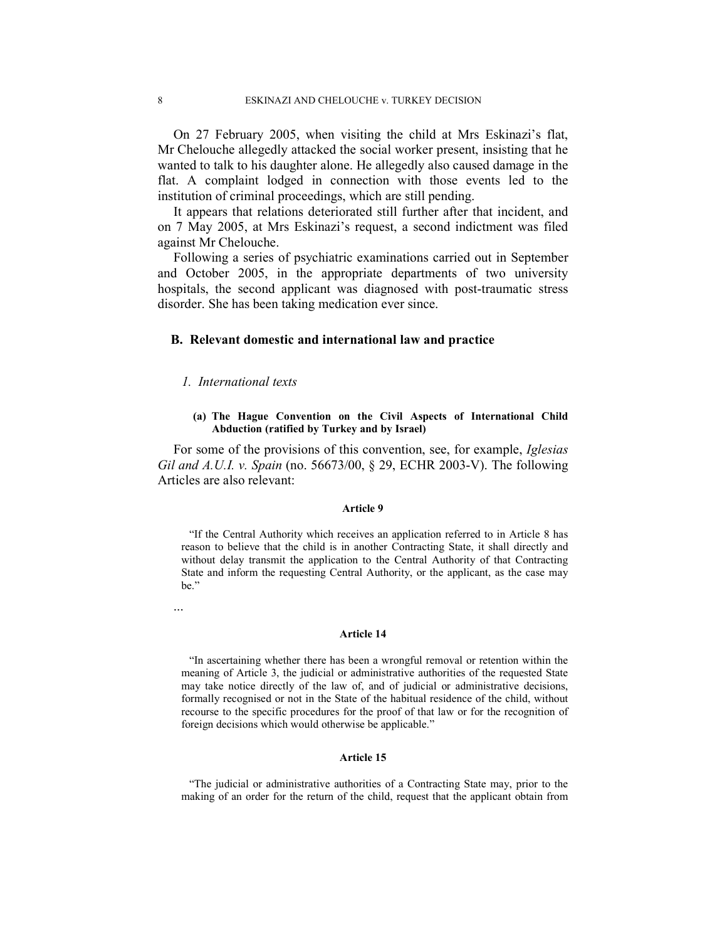On 27 February 2005, when visiting the child at Mrs Eskinazi's flat, Mr Chelouche allegedly attacked the social worker present, insisting that he wanted to talk to his daughter alone. He allegedly also caused damage in the flat. A complaint lodged in connection with those events led to the institution of criminal proceedings, which are still pending.

It appears that relations deteriorated still further after that incident, and on 7 May 2005, at Mrs Eskinazi's request, a second indictment was filed against Mr Chelouche.

Following a series of psychiatric examinations carried out in September and October 2005, in the appropriate departments of two university hospitals, the second applicant was diagnosed with post-traumatic stress disorder. She has been taking medication ever since.

# B. Relevant domestic and international law and practice

# 1. International texts

### (a) The Hague Convention on the Civil Aspects of International Child Abduction (ratified by Turkey and by Israel)

For some of the provisions of this convention, see, for example, Iglesias Gil and A.U.I. v. Spain (no. 56673/00, § 29, ECHR 2003-V). The following Articles are also relevant:

## Article 9

"If the Central Authority which receives an application referred to in Article 8 has reason to believe that the child is in another Contracting State, it shall directly and without delay transmit the application to the Central Authority of that Contracting State and inform the requesting Central Authority, or the applicant, as the case may be."

...

### Article 14

"In ascertaining whether there has been a wrongful removal or retention within the meaning of Article 3, the judicial or administrative authorities of the requested State may take notice directly of the law of, and of judicial or administrative decisions, formally recognised or not in the State of the habitual residence of the child, without recourse to the specific procedures for the proof of that law or for the recognition of foreign decisions which would otherwise be applicable."

#### Article 15

"The judicial or administrative authorities of a Contracting State may, prior to the making of an order for the return of the child, request that the applicant obtain from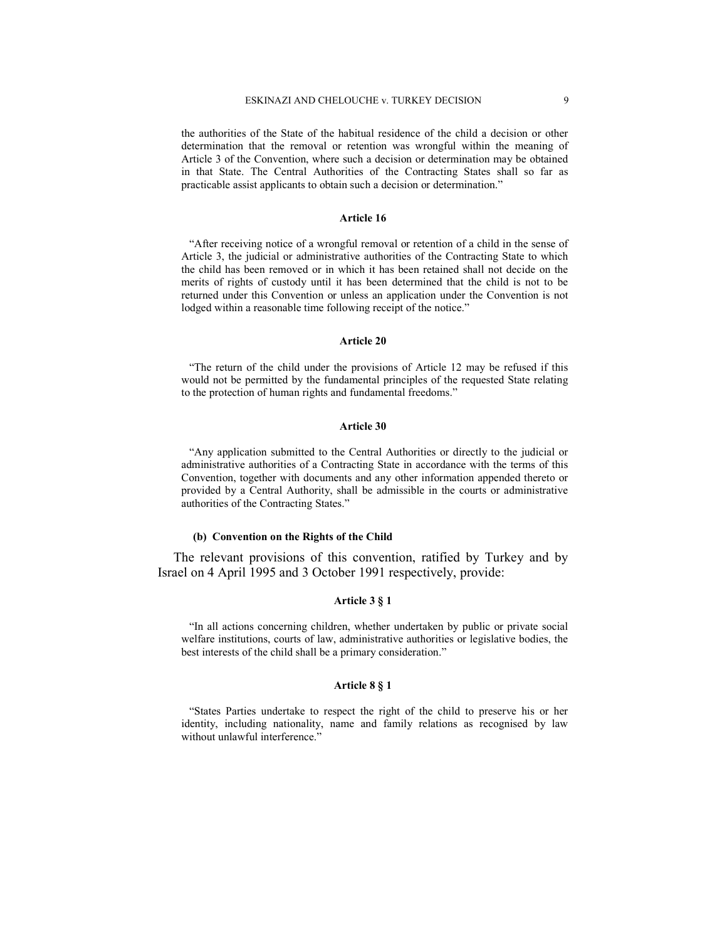the authorities of the State of the habitual residence of the child a decision or other determination that the removal or retention was wrongful within the meaning of Article 3 of the Convention, where such a decision or determination may be obtained in that State. The Central Authorities of the Contracting States shall so far as practicable assist applicants to obtain such a decision or determination."

#### Article 16

"After receiving notice of a wrongful removal or retention of a child in the sense of Article 3, the judicial or administrative authorities of the Contracting State to which the child has been removed or in which it has been retained shall not decide on the merits of rights of custody until it has been determined that the child is not to be returned under this Convention or unless an application under the Convention is not lodged within a reasonable time following receipt of the notice."

#### Article 20

"The return of the child under the provisions of Article 12 may be refused if this would not be permitted by the fundamental principles of the requested State relating to the protection of human rights and fundamental freedoms."

#### Article 30

"Any application submitted to the Central Authorities or directly to the judicial or administrative authorities of a Contracting State in accordance with the terms of this Convention, together with documents and any other information appended thereto or provided by a Central Authority, shall be admissible in the courts or administrative authorities of the Contracting States."

#### (b) Convention on the Rights of the Child

The relevant provisions of this convention, ratified by Turkey and by Israel on 4 April 1995 and 3 October 1991 respectively, provide:

### Article 3 § 1

"In all actions concerning children, whether undertaken by public or private social welfare institutions, courts of law, administrative authorities or legislative bodies, the best interests of the child shall be a primary consideration."

### Article 8 § 1

"States Parties undertake to respect the right of the child to preserve his or her identity, including nationality, name and family relations as recognised by law without unlawful interference."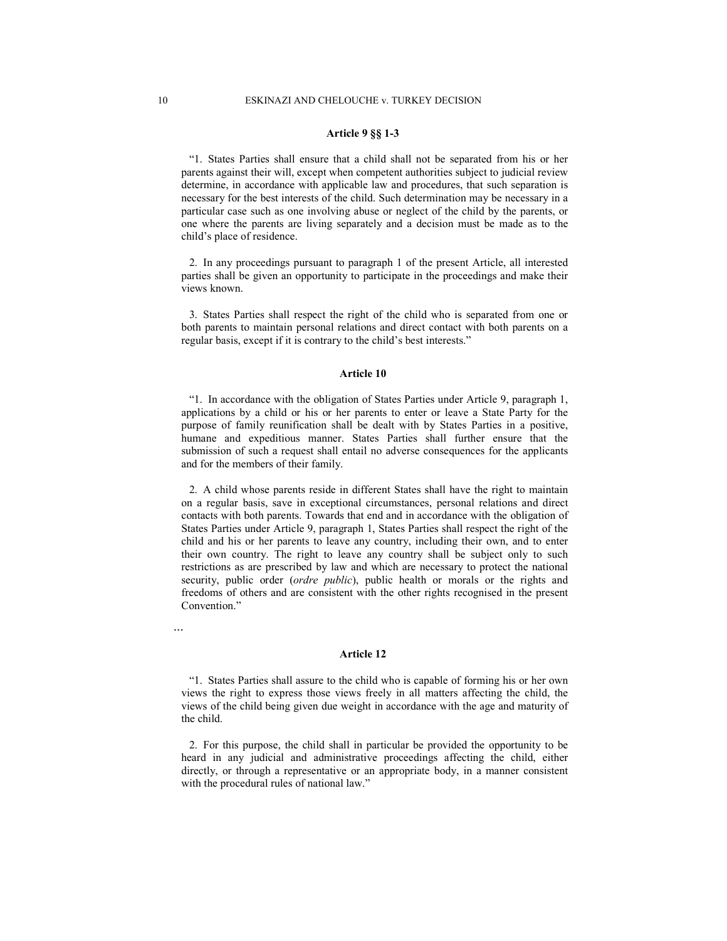### Article 9 §§ 1-3

"1. States Parties shall ensure that a child shall not be separated from his or her parents against their will, except when competent authorities subject to judicial review determine, in accordance with applicable law and procedures, that such separation is necessary for the best interests of the child. Such determination may be necessary in a particular case such as one involving abuse or neglect of the child by the parents, or one where the parents are living separately and a decision must be made as to the child's place of residence.

2. In any proceedings pursuant to paragraph 1 of the present Article, all interested parties shall be given an opportunity to participate in the proceedings and make their views known.

3. States Parties shall respect the right of the child who is separated from one or both parents to maintain personal relations and direct contact with both parents on a regular basis, except if it is contrary to the child's best interests."

#### Article 10

"1. In accordance with the obligation of States Parties under Article 9, paragraph 1, applications by a child or his or her parents to enter or leave a State Party for the purpose of family reunification shall be dealt with by States Parties in a positive, humane and expeditious manner. States Parties shall further ensure that the submission of such a request shall entail no adverse consequences for the applicants and for the members of their family.

2. A child whose parents reside in different States shall have the right to maintain on a regular basis, save in exceptional circumstances, personal relations and direct contacts with both parents. Towards that end and in accordance with the obligation of States Parties under Article 9, paragraph 1, States Parties shall respect the right of the child and his or her parents to leave any country, including their own, and to enter their own country. The right to leave any country shall be subject only to such restrictions as are prescribed by law and which are necessary to protect the national security, public order (*ordre public*), public health or morals or the rights and freedoms of others and are consistent with the other rights recognised in the present Convention."

#### Article 12

"1. States Parties shall assure to the child who is capable of forming his or her own views the right to express those views freely in all matters affecting the child, the views of the child being given due weight in accordance with the age and maturity of the child.

2. For this purpose, the child shall in particular be provided the opportunity to be heard in any judicial and administrative proceedings affecting the child, either directly, or through a representative or an appropriate body, in a manner consistent with the procedural rules of national law."

...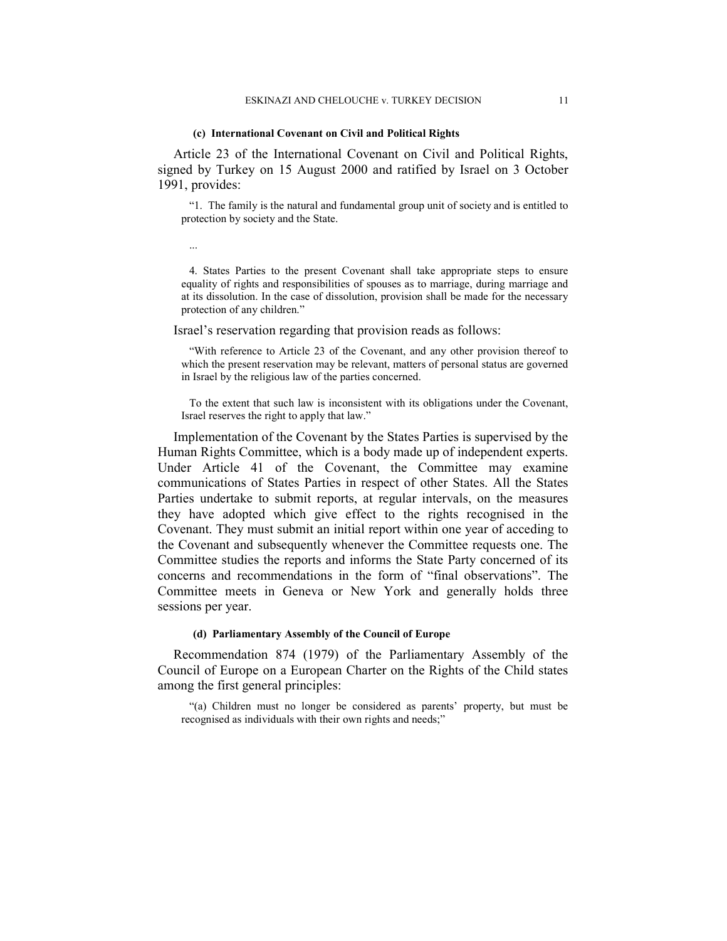#### (c) International Covenant on Civil and Political Rights

...

Article 23 of the International Covenant on Civil and Political Rights, signed by Turkey on 15 August 2000 and ratified by Israel on 3 October 1991, provides:

"1. The family is the natural and fundamental group unit of society and is entitled to protection by society and the State.

4. States Parties to the present Covenant shall take appropriate steps to ensure equality of rights and responsibilities of spouses as to marriage, during marriage and at its dissolution. In the case of dissolution, provision shall be made for the necessary protection of any children."

Israel's reservation regarding that provision reads as follows:

"With reference to Article 23 of the Covenant, and any other provision thereof to which the present reservation may be relevant, matters of personal status are governed in Israel by the religious law of the parties concerned.

To the extent that such law is inconsistent with its obligations under the Covenant, Israel reserves the right to apply that law."

Implementation of the Covenant by the States Parties is supervised by the Human Rights Committee, which is a body made up of independent experts. Under Article 41 of the Covenant, the Committee may examine communications of States Parties in respect of other States. All the States Parties undertake to submit reports, at regular intervals, on the measures they have adopted which give effect to the rights recognised in the Covenant. They must submit an initial report within one year of acceding to the Covenant and subsequently whenever the Committee requests one. The Committee studies the reports and informs the State Party concerned of its concerns and recommendations in the form of "final observations". The Committee meets in Geneva or New York and generally holds three sessions per year.

# (d) Parliamentary Assembly of the Council of Europe

Recommendation 874 (1979) of the Parliamentary Assembly of the Council of Europe on a European Charter on the Rights of the Child states among the first general principles:

"(a) Children must no longer be considered as parents' property, but must be recognised as individuals with their own rights and needs;"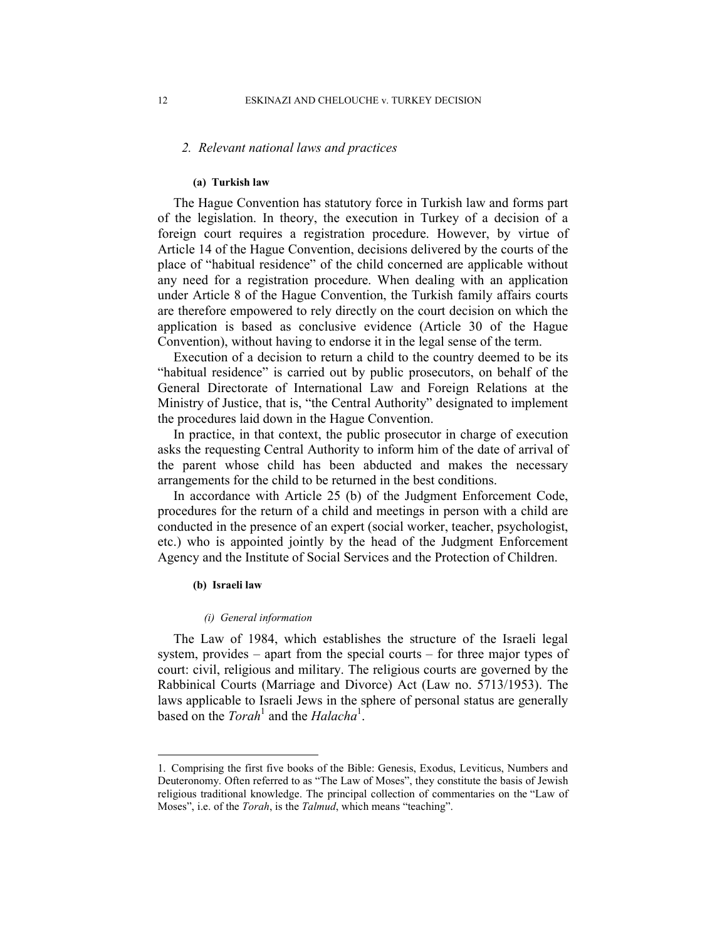# 2. Relevant national laws and practices

### (a) Turkish law

The Hague Convention has statutory force in Turkish law and forms part of the legislation. In theory, the execution in Turkey of a decision of a foreign court requires a registration procedure. However, by virtue of Article 14 of the Hague Convention, decisions delivered by the courts of the place of "habitual residence" of the child concerned are applicable without any need for a registration procedure. When dealing with an application under Article 8 of the Hague Convention, the Turkish family affairs courts are therefore empowered to rely directly on the court decision on which the application is based as conclusive evidence (Article 30 of the Hague Convention), without having to endorse it in the legal sense of the term.

Execution of a decision to return a child to the country deemed to be its "habitual residence" is carried out by public prosecutors, on behalf of the General Directorate of International Law and Foreign Relations at the Ministry of Justice, that is, "the Central Authority" designated to implement the procedures laid down in the Hague Convention.

In practice, in that context, the public prosecutor in charge of execution asks the requesting Central Authority to inform him of the date of arrival of the parent whose child has been abducted and makes the necessary arrangements for the child to be returned in the best conditions.

In accordance with Article 25 (b) of the Judgment Enforcement Code, procedures for the return of a child and meetings in person with a child are conducted in the presence of an expert (social worker, teacher, psychologist, etc.) who is appointed jointly by the head of the Judgment Enforcement Agency and the Institute of Social Services and the Protection of Children.

### (b) Israeli law

 $\overline{a}$ 

#### (i) General information

The Law of 1984, which establishes the structure of the Israeli legal system, provides – apart from the special courts – for three major types of court: civil, religious and military. The religious courts are governed by the Rabbinical Courts (Marriage and Divorce) Act (Law no. 5713/1953). The laws applicable to Israeli Jews in the sphere of personal status are generally based on the  $Torah<sup>1</sup>$  and the Halacha<sup>1</sup>.

<sup>1.</sup> Comprising the first five books of the Bible: Genesis, Exodus, Leviticus, Numbers and Deuteronomy. Often referred to as "The Law of Moses", they constitute the basis of Jewish religious traditional knowledge. The principal collection of commentaries on the "Law of Moses", i.e. of the *Torah*, is the *Talmud*, which means "teaching".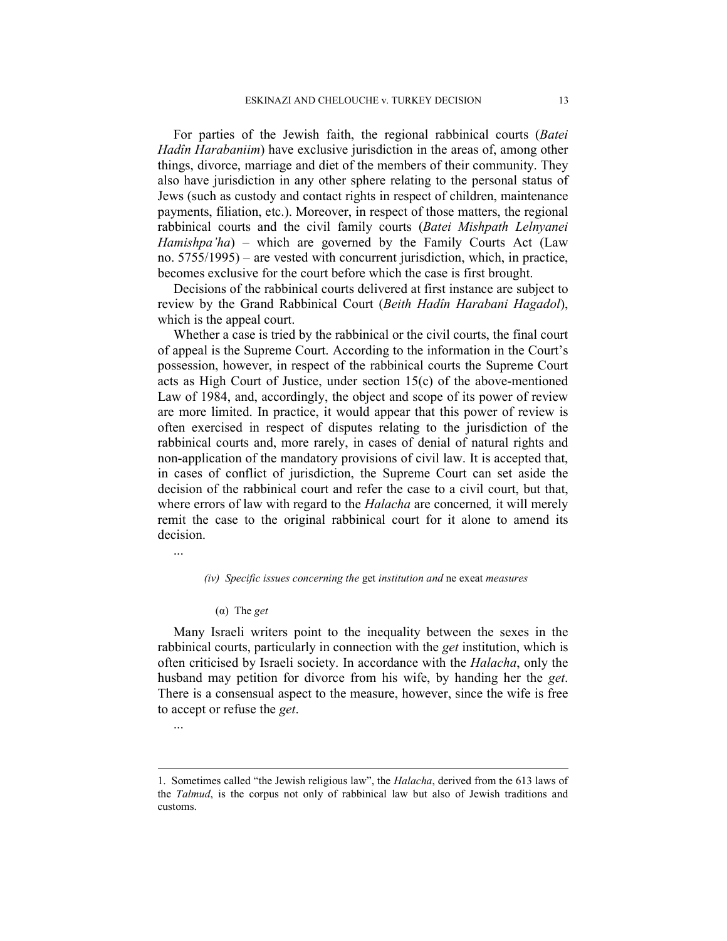For parties of the Jewish faith, the regional rabbinical courts (Batei Hadîn Harabaniim) have exclusive jurisdiction in the areas of, among other things, divorce, marriage and diet of the members of their community. They also have jurisdiction in any other sphere relating to the personal status of Jews (such as custody and contact rights in respect of children, maintenance payments, filiation, etc.). Moreover, in respect of those matters, the regional rabbinical courts and the civil family courts (Batei Mishpath Lelnyanei Hamishpa'ha) – which are governed by the Family Courts Act (Law no. 5755/1995) – are vested with concurrent jurisdiction, which, in practice, becomes exclusive for the court before which the case is first brought.

Decisions of the rabbinical courts delivered at first instance are subject to review by the Grand Rabbinical Court (Beith Hadîn Harabani Hagadol), which is the appeal court.

Whether a case is tried by the rabbinical or the civil courts, the final court of appeal is the Supreme Court. According to the information in the Court's possession, however, in respect of the rabbinical courts the Supreme Court acts as High Court of Justice, under section 15(c) of the above-mentioned Law of 1984, and, accordingly, the object and scope of its power of review are more limited. In practice, it would appear that this power of review is often exercised in respect of disputes relating to the jurisdiction of the rabbinical courts and, more rarely, in cases of denial of natural rights and non-application of the mandatory provisions of civil law. It is accepted that, in cases of conflict of jurisdiction, the Supreme Court can set aside the decision of the rabbinical court and refer the case to a civil court, but that, where errors of law with regard to the *Halacha* are concerned, it will merely remit the case to the original rabbinical court for it alone to amend its decision.

...

### (iv) Specific issues concerning the get institution and ne exeat measures

(α) The get

Many Israeli writers point to the inequality between the sexes in the rabbinical courts, particularly in connection with the *get* institution, which is often criticised by Israeli society. In accordance with the Halacha, only the husband may petition for divorce from his wife, by handing her the *get*. There is a consensual aspect to the measure, however, since the wife is free to accept or refuse the get.

...

 $\overline{a}$ 

<sup>1.</sup> Sometimes called "the Jewish religious law", the Halacha, derived from the 613 laws of the *Talmud*, is the corpus not only of rabbinical law but also of Jewish traditions and customs.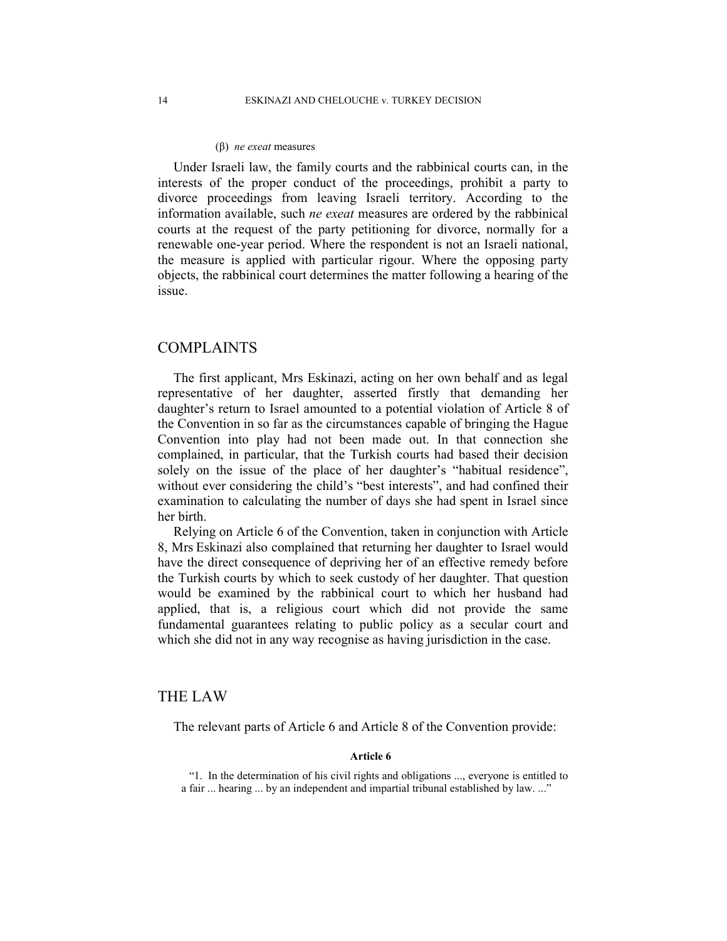#### (β) *ne exeat* measures

Under Israeli law, the family courts and the rabbinical courts can, in the interests of the proper conduct of the proceedings, prohibit a party to divorce proceedings from leaving Israeli territory. According to the information available, such ne exeat measures are ordered by the rabbinical courts at the request of the party petitioning for divorce, normally for a renewable one-year period. Where the respondent is not an Israeli national, the measure is applied with particular rigour. Where the opposing party objects, the rabbinical court determines the matter following a hearing of the issue.

# COMPLAINTS

The first applicant, Mrs Eskinazi, acting on her own behalf and as legal representative of her daughter, asserted firstly that demanding her daughter's return to Israel amounted to a potential violation of Article 8 of the Convention in so far as the circumstances capable of bringing the Hague Convention into play had not been made out. In that connection she complained, in particular, that the Turkish courts had based their decision solely on the issue of the place of her daughter's "habitual residence", without ever considering the child's "best interests", and had confined their examination to calculating the number of days she had spent in Israel since her birth.

Relying on Article 6 of the Convention, taken in conjunction with Article 8, Mrs Eskinazi also complained that returning her daughter to Israel would have the direct consequence of depriving her of an effective remedy before the Turkish courts by which to seek custody of her daughter. That question would be examined by the rabbinical court to which her husband had applied, that is, a religious court which did not provide the same fundamental guarantees relating to public policy as a secular court and which she did not in any way recognise as having jurisdiction in the case.

## THE LAW

The relevant parts of Article 6 and Article 8 of the Convention provide:

### Article 6

"1. In the determination of his civil rights and obligations ..., everyone is entitled to a fair ... hearing ... by an independent and impartial tribunal established by law. ..."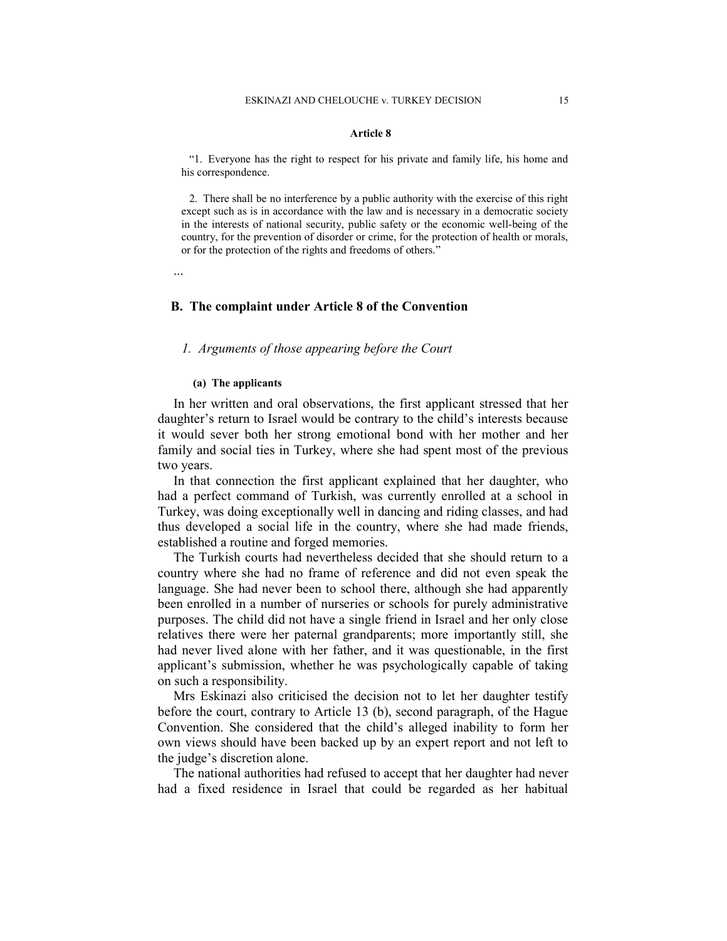#### Article 8

"1. Everyone has the right to respect for his private and family life, his home and his correspondence.

2. There shall be no interference by a public authority with the exercise of this right except such as is in accordance with the law and is necessary in a democratic society in the interests of national security, public safety or the economic well-being of the country, for the prevention of disorder or crime, for the protection of health or morals, or for the protection of the rights and freedoms of others."

...

# B. The complaint under Article 8 of the Convention

# 1. Arguments of those appearing before the Court

### (a) The applicants

In her written and oral observations, the first applicant stressed that her daughter's return to Israel would be contrary to the child's interests because it would sever both her strong emotional bond with her mother and her family and social ties in Turkey, where she had spent most of the previous two years.

In that connection the first applicant explained that her daughter, who had a perfect command of Turkish, was currently enrolled at a school in Turkey, was doing exceptionally well in dancing and riding classes, and had thus developed a social life in the country, where she had made friends, established a routine and forged memories.

The Turkish courts had nevertheless decided that she should return to a country where she had no frame of reference and did not even speak the language. She had never been to school there, although she had apparently been enrolled in a number of nurseries or schools for purely administrative purposes. The child did not have a single friend in Israel and her only close relatives there were her paternal grandparents; more importantly still, she had never lived alone with her father, and it was questionable, in the first applicant's submission, whether he was psychologically capable of taking on such a responsibility.

Mrs Eskinazi also criticised the decision not to let her daughter testify before the court, contrary to Article 13 (b), second paragraph, of the Hague Convention. She considered that the child's alleged inability to form her own views should have been backed up by an expert report and not left to the judge's discretion alone.

The national authorities had refused to accept that her daughter had never had a fixed residence in Israel that could be regarded as her habitual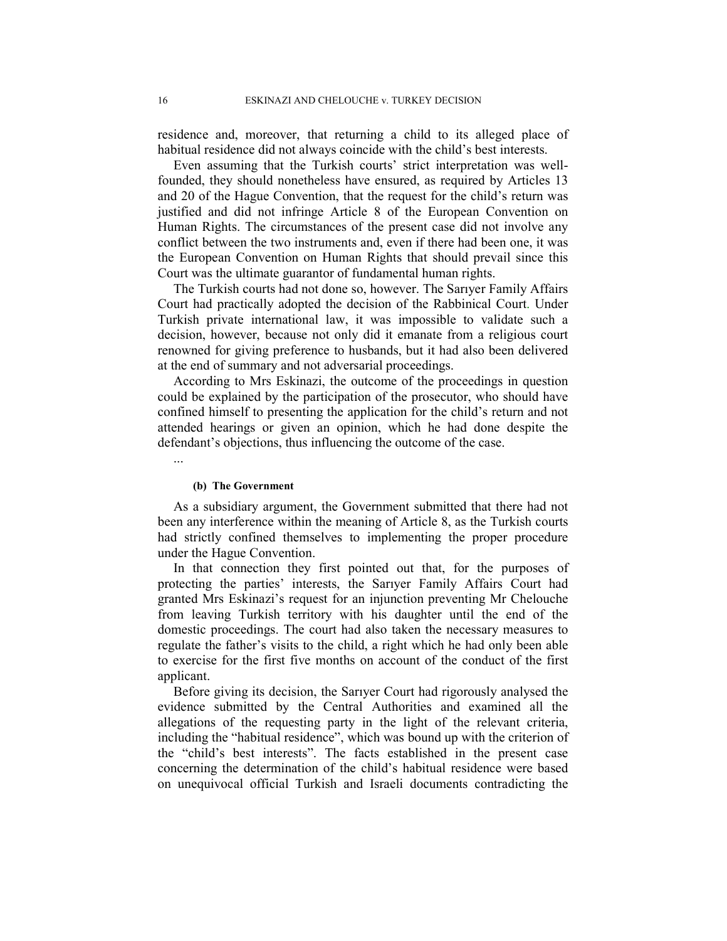residence and, moreover, that returning a child to its alleged place of habitual residence did not always coincide with the child's best interests.

Even assuming that the Turkish courts' strict interpretation was wellfounded, they should nonetheless have ensured, as required by Articles 13 and 20 of the Hague Convention, that the request for the child's return was justified and did not infringe Article 8 of the European Convention on Human Rights. The circumstances of the present case did not involve any conflict between the two instruments and, even if there had been one, it was the European Convention on Human Rights that should prevail since this Court was the ultimate guarantor of fundamental human rights.

The Turkish courts had not done so, however. The Sarıyer Family Affairs Court had practically adopted the decision of the Rabbinical Court. Under Turkish private international law, it was impossible to validate such a decision, however, because not only did it emanate from a religious court renowned for giving preference to husbands, but it had also been delivered at the end of summary and not adversarial proceedings.

According to Mrs Eskinazi, the outcome of the proceedings in question could be explained by the participation of the prosecutor, who should have confined himself to presenting the application for the child's return and not attended hearings or given an opinion, which he had done despite the defendant's objections, thus influencing the outcome of the case.

### (b) The Government

As a subsidiary argument, the Government submitted that there had not been any interference within the meaning of Article 8, as the Turkish courts had strictly confined themselves to implementing the proper procedure under the Hague Convention.

In that connection they first pointed out that, for the purposes of protecting the parties' interests, the Sarıyer Family Affairs Court had granted Mrs Eskinazi's request for an injunction preventing Mr Chelouche from leaving Turkish territory with his daughter until the end of the domestic proceedings. The court had also taken the necessary measures to regulate the father's visits to the child, a right which he had only been able to exercise for the first five months on account of the conduct of the first applicant.

Before giving its decision, the Sarıyer Court had rigorously analysed the evidence submitted by the Central Authorities and examined all the allegations of the requesting party in the light of the relevant criteria, including the "habitual residence", which was bound up with the criterion of the "child's best interests". The facts established in the present case concerning the determination of the child's habitual residence were based on unequivocal official Turkish and Israeli documents contradicting the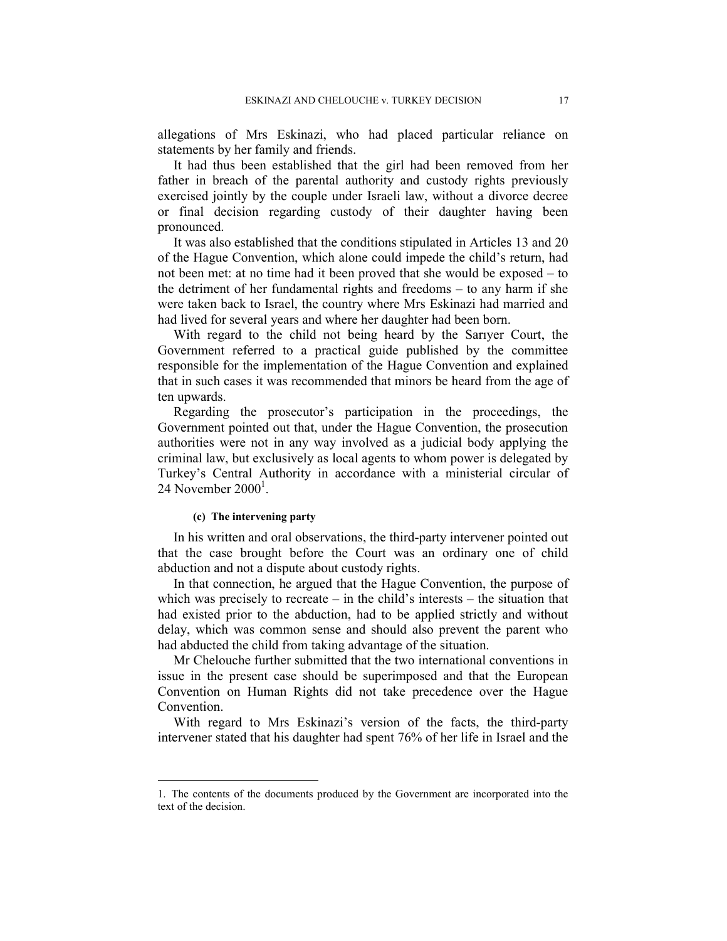allegations of Mrs Eskinazi, who had placed particular reliance on statements by her family and friends.

It had thus been established that the girl had been removed from her father in breach of the parental authority and custody rights previously exercised jointly by the couple under Israeli law, without a divorce decree or final decision regarding custody of their daughter having been pronounced.

It was also established that the conditions stipulated in Articles 13 and 20 of the Hague Convention, which alone could impede the child's return, had not been met: at no time had it been proved that she would be exposed – to the detriment of her fundamental rights and freedoms – to any harm if she were taken back to Israel, the country where Mrs Eskinazi had married and had lived for several years and where her daughter had been born.

With regard to the child not being heard by the Sarıyer Court, the Government referred to a practical guide published by the committee responsible for the implementation of the Hague Convention and explained that in such cases it was recommended that minors be heard from the age of ten upwards.

Regarding the prosecutor's participation in the proceedings, the Government pointed out that, under the Hague Convention, the prosecution authorities were not in any way involved as a judicial body applying the criminal law, but exclusively as local agents to whom power is delegated by Turkey's Central Authority in accordance with a ministerial circular of  $24$  November  $2000<sup>1</sup>$ .

### (c) The intervening party

 $\overline{a}$ 

In his written and oral observations, the third-party intervener pointed out that the case brought before the Court was an ordinary one of child abduction and not a dispute about custody rights.

In that connection, he argued that the Hague Convention, the purpose of which was precisely to recreate – in the child's interests – the situation that had existed prior to the abduction, had to be applied strictly and without delay, which was common sense and should also prevent the parent who had abducted the child from taking advantage of the situation.

Mr Chelouche further submitted that the two international conventions in issue in the present case should be superimposed and that the European Convention on Human Rights did not take precedence over the Hague **Convention** 

With regard to Mrs Eskinazi's version of the facts, the third-party intervener stated that his daughter had spent 76% of her life in Israel and the

<sup>1.</sup> The contents of the documents produced by the Government are incorporated into the text of the decision.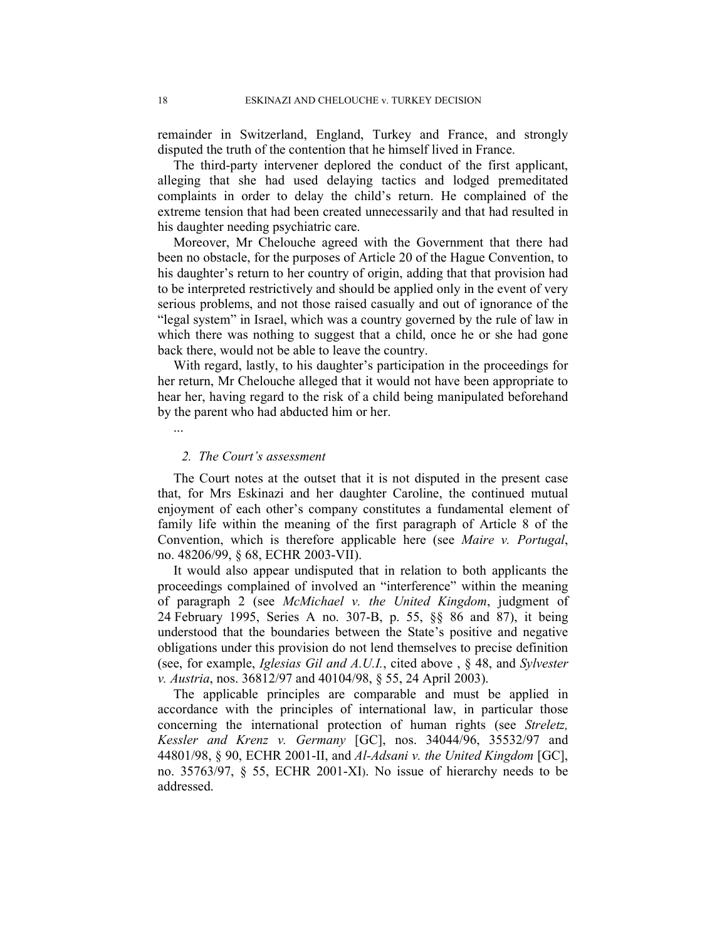remainder in Switzerland, England, Turkey and France, and strongly disputed the truth of the contention that he himself lived in France.

The third-party intervener deplored the conduct of the first applicant, alleging that she had used delaying tactics and lodged premeditated complaints in order to delay the child's return. He complained of the extreme tension that had been created unnecessarily and that had resulted in his daughter needing psychiatric care.

Moreover, Mr Chelouche agreed with the Government that there had been no obstacle, for the purposes of Article 20 of the Hague Convention, to his daughter's return to her country of origin, adding that that provision had to be interpreted restrictively and should be applied only in the event of very serious problems, and not those raised casually and out of ignorance of the "legal system" in Israel, which was a country governed by the rule of law in which there was nothing to suggest that a child, once he or she had gone back there, would not be able to leave the country.

With regard, lastly, to his daughter's participation in the proceedings for her return, Mr Chelouche alleged that it would not have been appropriate to hear her, having regard to the risk of a child being manipulated beforehand by the parent who had abducted him or her.

2. The Court's assessment

The Court notes at the outset that it is not disputed in the present case that, for Mrs Eskinazi and her daughter Caroline, the continued mutual enjoyment of each other's company constitutes a fundamental element of family life within the meaning of the first paragraph of Article 8 of the Convention, which is therefore applicable here (see *Maire v. Portugal*, no. 48206/99, § 68, ECHR 2003-VII).

It would also appear undisputed that in relation to both applicants the proceedings complained of involved an "interference" within the meaning of paragraph 2 (see McMichael v. the United Kingdom, judgment of 24 February 1995, Series A no. 307-B, p. 55, §§ 86 and 87), it being understood that the boundaries between the State's positive and negative obligations under this provision do not lend themselves to precise definition (see, for example, *Iglesias Gil and A.U.I.*, cited above ,  $\S$  48, and *Sylvester* v. Austria, nos. 36812/97 and 40104/98, § 55, 24 April 2003).

The applicable principles are comparable and must be applied in accordance with the principles of international law, in particular those concerning the international protection of human rights (see Streletz, Kessler and Krenz v. Germany [GC], nos. 34044/96, 35532/97 and 44801/98, § 90, ECHR 2001-II, and Al-Adsani v. the United Kingdom [GC], no. 35763/97, § 55, ECHR 2001-XI). No issue of hierarchy needs to be addressed.

...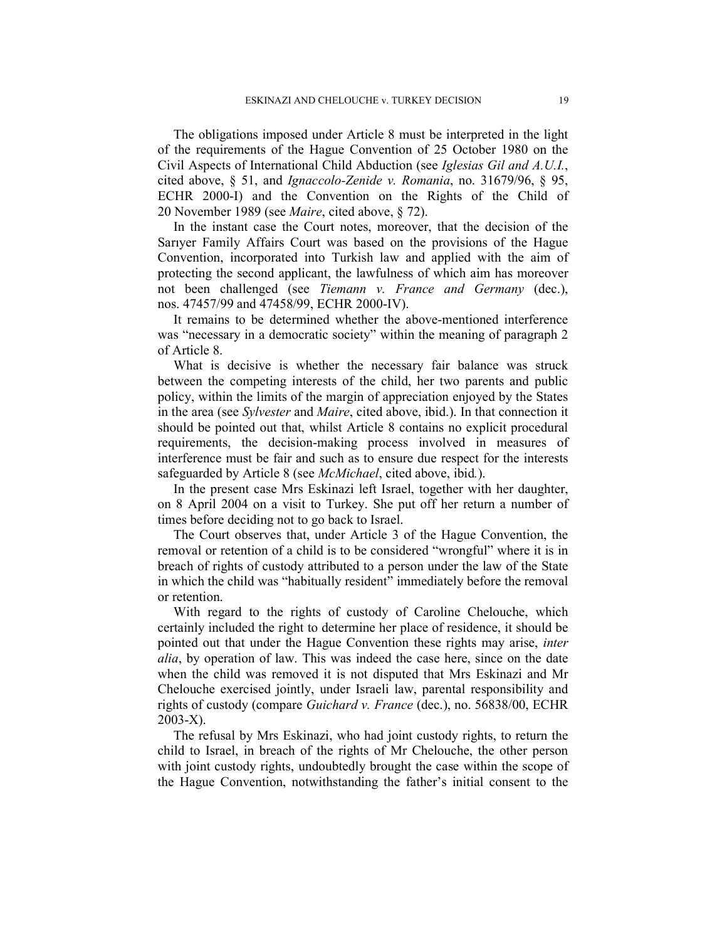The obligations imposed under Article 8 must be interpreted in the light of the requirements of the Hague Convention of 25 October 1980 on the Civil Aspects of International Child Abduction (see Iglesias Gil and A.U.I., cited above, § 51, and Ignaccolo-Zenide v. Romania, no. 31679/96, § 95, ECHR 2000-I) and the Convention on the Rights of the Child of 20 November 1989 (see Maire, cited above, § 72).

In the instant case the Court notes, moreover, that the decision of the Sarıyer Family Affairs Court was based on the provisions of the Hague Convention, incorporated into Turkish law and applied with the aim of protecting the second applicant, the lawfulness of which aim has moreover not been challenged (see Tiemann v. France and Germany (dec.), nos. 47457/99 and 47458/99, ECHR 2000-IV).

It remains to be determined whether the above-mentioned interference was "necessary in a democratic society" within the meaning of paragraph 2 of Article 8.

What is decisive is whether the necessary fair balance was struck between the competing interests of the child, her two parents and public policy, within the limits of the margin of appreciation enjoyed by the States in the area (see Sylvester and Maire, cited above, ibid.). In that connection it should be pointed out that, whilst Article 8 contains no explicit procedural requirements, the decision-making process involved in measures of interference must be fair and such as to ensure due respect for the interests safeguarded by Article 8 (see *McMichael*, cited above, ibid.).

In the present case Mrs Eskinazi left Israel, together with her daughter, on 8 April 2004 on a visit to Turkey. She put off her return a number of times before deciding not to go back to Israel.

The Court observes that, under Article 3 of the Hague Convention, the removal or retention of a child is to be considered "wrongful" where it is in breach of rights of custody attributed to a person under the law of the State in which the child was "habitually resident" immediately before the removal or retention.

With regard to the rights of custody of Caroline Chelouche, which certainly included the right to determine her place of residence, it should be pointed out that under the Hague Convention these rights may arise, inter alia, by operation of law. This was indeed the case here, since on the date when the child was removed it is not disputed that Mrs Eskinazi and Mr Chelouche exercised jointly, under Israeli law, parental responsibility and rights of custody (compare Guichard v. France (dec.), no. 56838/00, ECHR 2003-X).

The refusal by Mrs Eskinazi, who had joint custody rights, to return the child to Israel, in breach of the rights of Mr Chelouche, the other person with joint custody rights, undoubtedly brought the case within the scope of the Hague Convention, notwithstanding the father's initial consent to the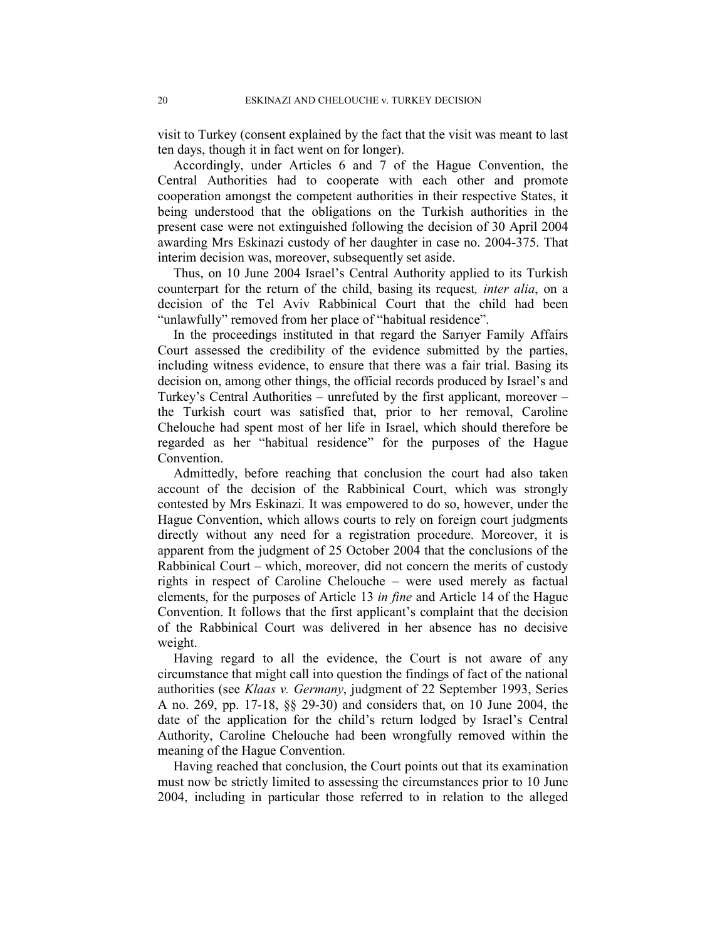visit to Turkey (consent explained by the fact that the visit was meant to last ten days, though it in fact went on for longer).

Accordingly, under Articles 6 and 7 of the Hague Convention, the Central Authorities had to cooperate with each other and promote cooperation amongst the competent authorities in their respective States, it being understood that the obligations on the Turkish authorities in the present case were not extinguished following the decision of 30 April 2004 awarding Mrs Eskinazi custody of her daughter in case no. 2004-375. That interim decision was, moreover, subsequently set aside.

Thus, on 10 June 2004 Israel's Central Authority applied to its Turkish counterpart for the return of the child, basing its request, inter alia, on a decision of the Tel Aviv Rabbinical Court that the child had been "unlawfully" removed from her place of "habitual residence".

In the proceedings instituted in that regard the Sarıyer Family Affairs Court assessed the credibility of the evidence submitted by the parties, including witness evidence, to ensure that there was a fair trial. Basing its decision on, among other things, the official records produced by Israel's and Turkey's Central Authorities – unrefuted by the first applicant, moreover – the Turkish court was satisfied that, prior to her removal, Caroline Chelouche had spent most of her life in Israel, which should therefore be regarded as her "habitual residence" for the purposes of the Hague Convention.

Admittedly, before reaching that conclusion the court had also taken account of the decision of the Rabbinical Court, which was strongly contested by Mrs Eskinazi. It was empowered to do so, however, under the Hague Convention, which allows courts to rely on foreign court judgments directly without any need for a registration procedure. Moreover, it is apparent from the judgment of 25 October 2004 that the conclusions of the Rabbinical Court – which, moreover, did not concern the merits of custody rights in respect of Caroline Chelouche – were used merely as factual elements, for the purposes of Article 13 in fine and Article 14 of the Hague Convention. It follows that the first applicant's complaint that the decision of the Rabbinical Court was delivered in her absence has no decisive weight.

Having regard to all the evidence, the Court is not aware of any circumstance that might call into question the findings of fact of the national authorities (see Klaas v. Germany, judgment of 22 September 1993, Series A no. 269, pp. 17-18, §§ 29-30) and considers that, on 10 June 2004, the date of the application for the child's return lodged by Israel's Central Authority, Caroline Chelouche had been wrongfully removed within the meaning of the Hague Convention.

Having reached that conclusion, the Court points out that its examination must now be strictly limited to assessing the circumstances prior to 10 June 2004, including in particular those referred to in relation to the alleged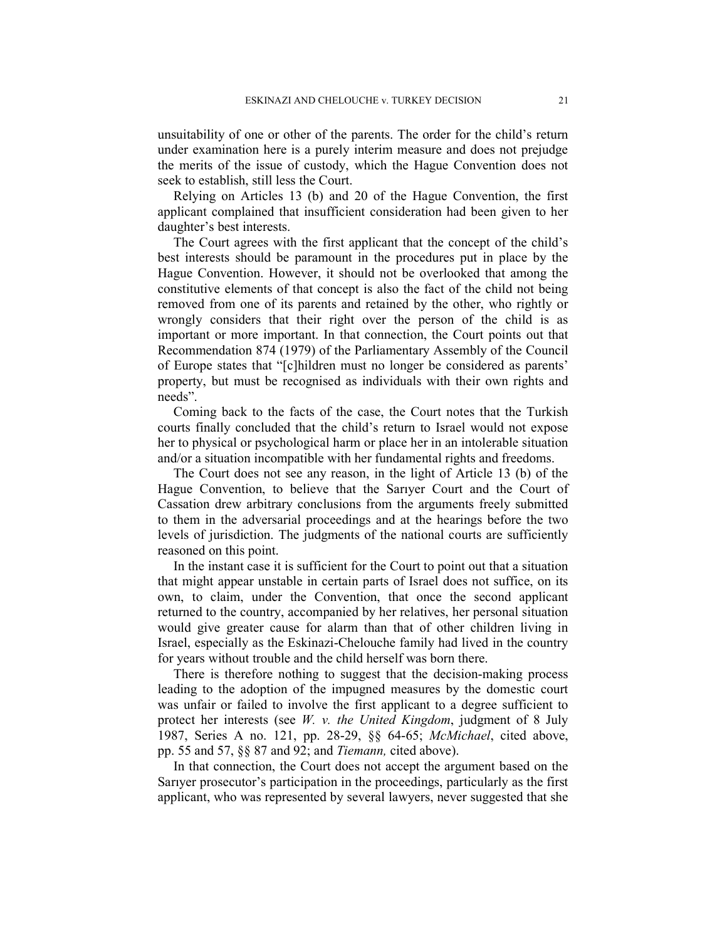unsuitability of one or other of the parents. The order for the child's return under examination here is a purely interim measure and does not prejudge the merits of the issue of custody, which the Hague Convention does not seek to establish, still less the Court.

Relying on Articles 13 (b) and 20 of the Hague Convention, the first applicant complained that insufficient consideration had been given to her daughter's best interests.

The Court agrees with the first applicant that the concept of the child's best interests should be paramount in the procedures put in place by the Hague Convention. However, it should not be overlooked that among the constitutive elements of that concept is also the fact of the child not being removed from one of its parents and retained by the other, who rightly or wrongly considers that their right over the person of the child is as important or more important. In that connection, the Court points out that Recommendation 874 (1979) of the Parliamentary Assembly of the Council of Europe states that "[c]hildren must no longer be considered as parents' property, but must be recognised as individuals with their own rights and needs".

Coming back to the facts of the case, the Court notes that the Turkish courts finally concluded that the child's return to Israel would not expose her to physical or psychological harm or place her in an intolerable situation and/or a situation incompatible with her fundamental rights and freedoms.

The Court does not see any reason, in the light of Article 13 (b) of the Hague Convention, to believe that the Sarıyer Court and the Court of Cassation drew arbitrary conclusions from the arguments freely submitted to them in the adversarial proceedings and at the hearings before the two levels of jurisdiction. The judgments of the national courts are sufficiently reasoned on this point.

In the instant case it is sufficient for the Court to point out that a situation that might appear unstable in certain parts of Israel does not suffice, on its own, to claim, under the Convention, that once the second applicant returned to the country, accompanied by her relatives, her personal situation would give greater cause for alarm than that of other children living in Israel, especially as the Eskinazi-Chelouche family had lived in the country for years without trouble and the child herself was born there.

There is therefore nothing to suggest that the decision-making process leading to the adoption of the impugned measures by the domestic court was unfair or failed to involve the first applicant to a degree sufficient to protect her interests (see  $W$ . v. the United Kingdom, judgment of 8 July 1987, Series A no. 121, pp. 28-29, §§ 64-65; McMichael, cited above, pp. 55 and 57, §§ 87 and 92; and Tiemann, cited above).

In that connection, the Court does not accept the argument based on the Sarıyer prosecutor's participation in the proceedings, particularly as the first applicant, who was represented by several lawyers, never suggested that she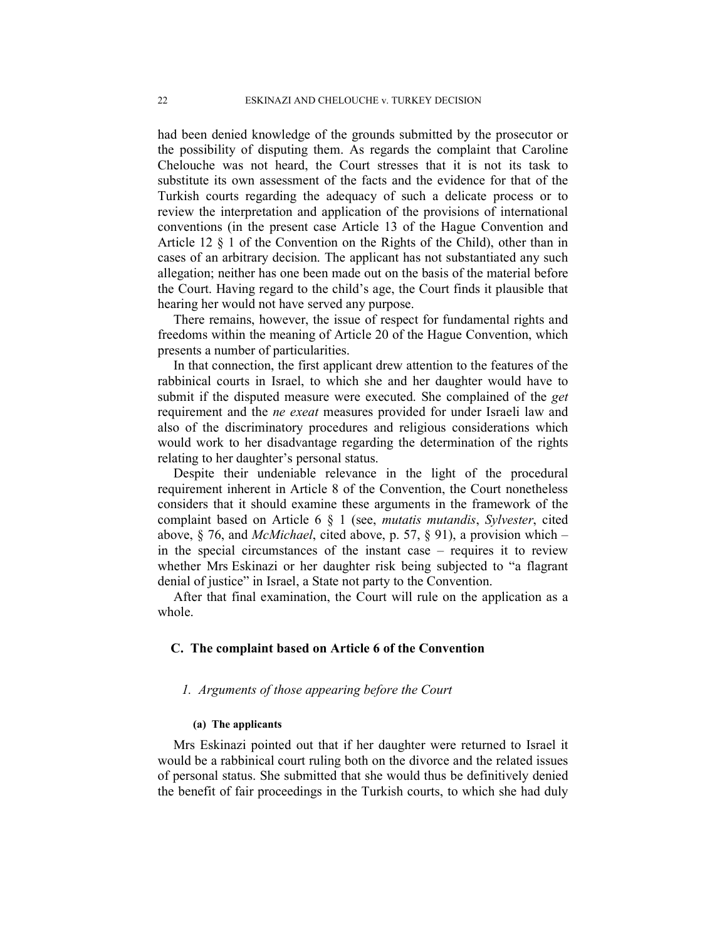had been denied knowledge of the grounds submitted by the prosecutor or the possibility of disputing them. As regards the complaint that Caroline Chelouche was not heard, the Court stresses that it is not its task to substitute its own assessment of the facts and the evidence for that of the Turkish courts regarding the adequacy of such a delicate process or to review the interpretation and application of the provisions of international conventions (in the present case Article 13 of the Hague Convention and Article 12 § 1 of the Convention on the Rights of the Child), other than in cases of an arbitrary decision. The applicant has not substantiated any such allegation; neither has one been made out on the basis of the material before the Court. Having regard to the child's age, the Court finds it plausible that hearing her would not have served any purpose.

There remains, however, the issue of respect for fundamental rights and freedoms within the meaning of Article 20 of the Hague Convention, which presents a number of particularities.

In that connection, the first applicant drew attention to the features of the rabbinical courts in Israel, to which she and her daughter would have to submit if the disputed measure were executed. She complained of the get requirement and the *ne exeat* measures provided for under Israeli law and also of the discriminatory procedures and religious considerations which would work to her disadvantage regarding the determination of the rights relating to her daughter's personal status.

Despite their undeniable relevance in the light of the procedural requirement inherent in Article 8 of the Convention, the Court nonetheless considers that it should examine these arguments in the framework of the complaint based on Article 6 § 1 (see, mutatis mutandis, Sylvester, cited above,  $\S$  76, and *McMichael*, cited above, p. 57,  $\S$  91), a provision which – in the special circumstances of the instant case – requires it to review whether Mrs Eskinazi or her daughter risk being subjected to "a flagrant denial of justice" in Israel, a State not party to the Convention.

After that final examination, the Court will rule on the application as a whole.

# C. The complaint based on Article 6 of the Convention

# 1. Arguments of those appearing before the Court

## (a) The applicants

Mrs Eskinazi pointed out that if her daughter were returned to Israel it would be a rabbinical court ruling both on the divorce and the related issues of personal status. She submitted that she would thus be definitively denied the benefit of fair proceedings in the Turkish courts, to which she had duly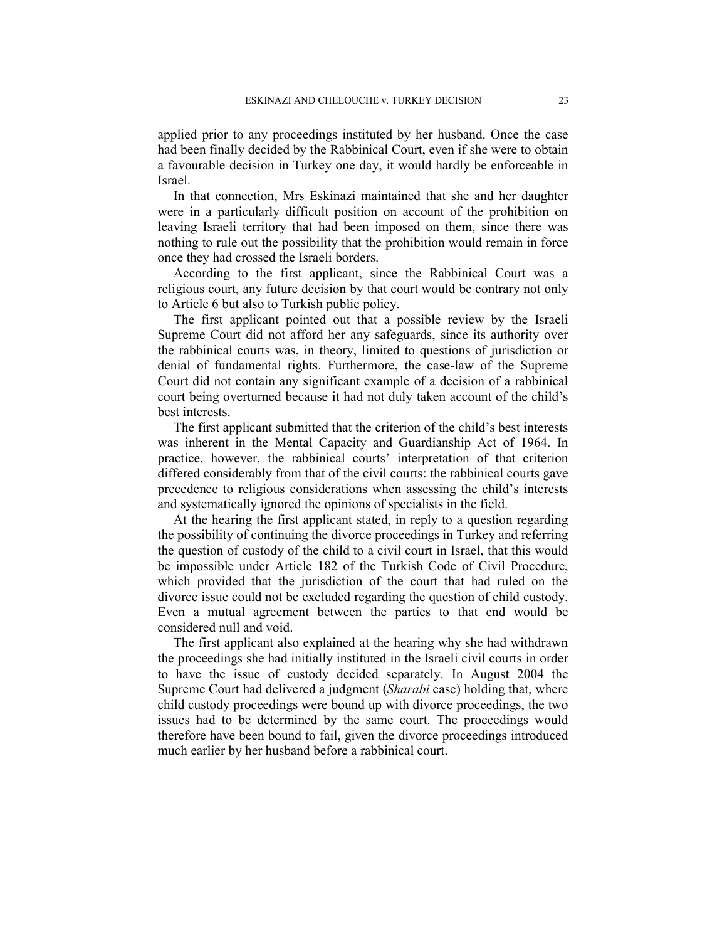applied prior to any proceedings instituted by her husband. Once the case had been finally decided by the Rabbinical Court, even if she were to obtain a favourable decision in Turkey one day, it would hardly be enforceable in Israel.

In that connection, Mrs Eskinazi maintained that she and her daughter were in a particularly difficult position on account of the prohibition on leaving Israeli territory that had been imposed on them, since there was nothing to rule out the possibility that the prohibition would remain in force once they had crossed the Israeli borders.

According to the first applicant, since the Rabbinical Court was a religious court, any future decision by that court would be contrary not only to Article 6 but also to Turkish public policy.

The first applicant pointed out that a possible review by the Israeli Supreme Court did not afford her any safeguards, since its authority over the rabbinical courts was, in theory, limited to questions of jurisdiction or denial of fundamental rights. Furthermore, the case-law of the Supreme Court did not contain any significant example of a decision of a rabbinical court being overturned because it had not duly taken account of the child's best interests.

The first applicant submitted that the criterion of the child's best interests was inherent in the Mental Capacity and Guardianship Act of 1964. In practice, however, the rabbinical courts' interpretation of that criterion differed considerably from that of the civil courts: the rabbinical courts gave precedence to religious considerations when assessing the child's interests and systematically ignored the opinions of specialists in the field.

At the hearing the first applicant stated, in reply to a question regarding the possibility of continuing the divorce proceedings in Turkey and referring the question of custody of the child to a civil court in Israel, that this would be impossible under Article 182 of the Turkish Code of Civil Procedure, which provided that the jurisdiction of the court that had ruled on the divorce issue could not be excluded regarding the question of child custody. Even a mutual agreement between the parties to that end would be considered null and void.

The first applicant also explained at the hearing why she had withdrawn the proceedings she had initially instituted in the Israeli civil courts in order to have the issue of custody decided separately. In August 2004 the Supreme Court had delivered a judgment (Sharabi case) holding that, where child custody proceedings were bound up with divorce proceedings, the two issues had to be determined by the same court. The proceedings would therefore have been bound to fail, given the divorce proceedings introduced much earlier by her husband before a rabbinical court.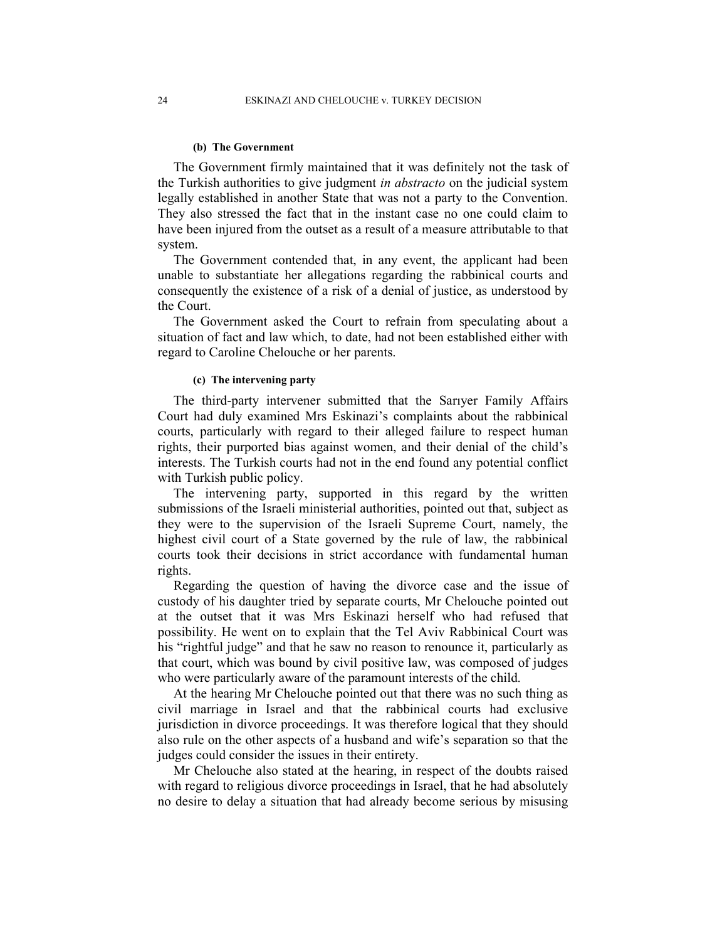#### (b) The Government

The Government firmly maintained that it was definitely not the task of the Turkish authorities to give judgment in abstracto on the judicial system legally established in another State that was not a party to the Convention. They also stressed the fact that in the instant case no one could claim to have been injured from the outset as a result of a measure attributable to that system.

The Government contended that, in any event, the applicant had been unable to substantiate her allegations regarding the rabbinical courts and consequently the existence of a risk of a denial of justice, as understood by the Court.

The Government asked the Court to refrain from speculating about a situation of fact and law which, to date, had not been established either with regard to Caroline Chelouche or her parents.

### (c) The intervening party

The third-party intervener submitted that the Sarıyer Family Affairs Court had duly examined Mrs Eskinazi's complaints about the rabbinical courts, particularly with regard to their alleged failure to respect human rights, their purported bias against women, and their denial of the child's interests. The Turkish courts had not in the end found any potential conflict with Turkish public policy.

The intervening party, supported in this regard by the written submissions of the Israeli ministerial authorities, pointed out that, subject as they were to the supervision of the Israeli Supreme Court, namely, the highest civil court of a State governed by the rule of law, the rabbinical courts took their decisions in strict accordance with fundamental human rights.

Regarding the question of having the divorce case and the issue of custody of his daughter tried by separate courts, Mr Chelouche pointed out at the outset that it was Mrs Eskinazi herself who had refused that possibility. He went on to explain that the Tel Aviv Rabbinical Court was his "rightful judge" and that he saw no reason to renounce it, particularly as that court, which was bound by civil positive law, was composed of judges who were particularly aware of the paramount interests of the child.

At the hearing Mr Chelouche pointed out that there was no such thing as civil marriage in Israel and that the rabbinical courts had exclusive jurisdiction in divorce proceedings. It was therefore logical that they should also rule on the other aspects of a husband and wife's separation so that the judges could consider the issues in their entirety.

Mr Chelouche also stated at the hearing, in respect of the doubts raised with regard to religious divorce proceedings in Israel, that he had absolutely no desire to delay a situation that had already become serious by misusing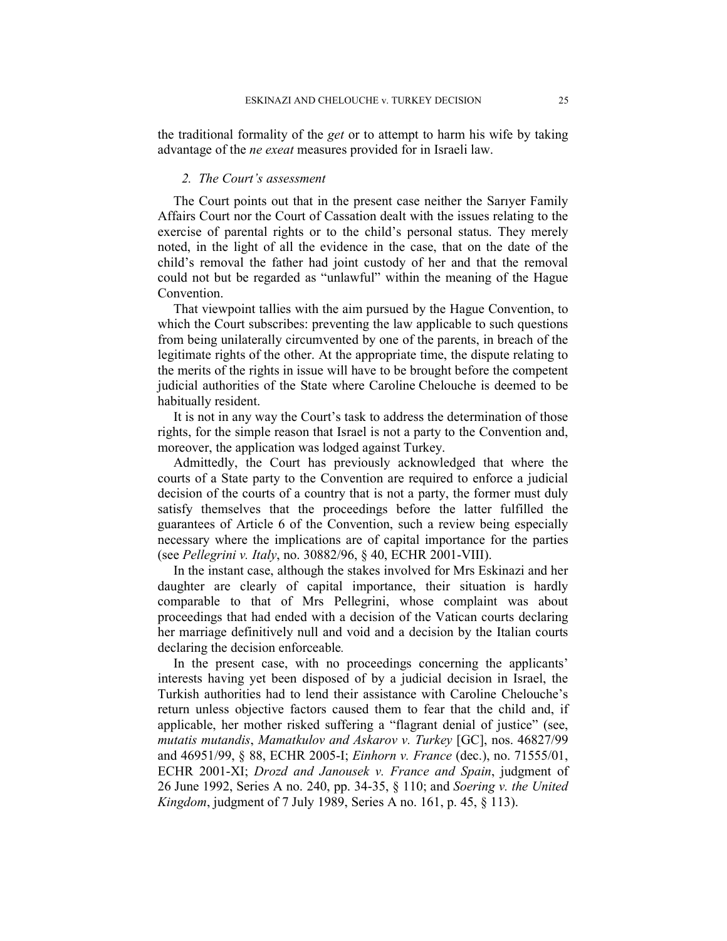the traditional formality of the *get* or to attempt to harm his wife by taking advantage of the ne exeat measures provided for in Israeli law.

## 2. The Court's assessment

The Court points out that in the present case neither the Sarıyer Family Affairs Court nor the Court of Cassation dealt with the issues relating to the exercise of parental rights or to the child's personal status. They merely noted, in the light of all the evidence in the case, that on the date of the child's removal the father had joint custody of her and that the removal could not but be regarded as "unlawful" within the meaning of the Hague Convention.

That viewpoint tallies with the aim pursued by the Hague Convention, to which the Court subscribes: preventing the law applicable to such questions from being unilaterally circumvented by one of the parents, in breach of the legitimate rights of the other. At the appropriate time, the dispute relating to the merits of the rights in issue will have to be brought before the competent judicial authorities of the State where Caroline Chelouche is deemed to be habitually resident.

It is not in any way the Court's task to address the determination of those rights, for the simple reason that Israel is not a party to the Convention and, moreover, the application was lodged against Turkey.

Admittedly, the Court has previously acknowledged that where the courts of a State party to the Convention are required to enforce a judicial decision of the courts of a country that is not a party, the former must duly satisfy themselves that the proceedings before the latter fulfilled the guarantees of Article 6 of the Convention, such a review being especially necessary where the implications are of capital importance for the parties (see Pellegrini v. Italy, no. 30882/96, § 40, ECHR 2001-VIII).

In the instant case, although the stakes involved for Mrs Eskinazi and her daughter are clearly of capital importance, their situation is hardly comparable to that of Mrs Pellegrini, whose complaint was about proceedings that had ended with a decision of the Vatican courts declaring her marriage definitively null and void and a decision by the Italian courts declaring the decision enforceable.

In the present case, with no proceedings concerning the applicants' interests having yet been disposed of by a judicial decision in Israel, the Turkish authorities had to lend their assistance with Caroline Chelouche's return unless objective factors caused them to fear that the child and, if applicable, her mother risked suffering a "flagrant denial of justice" (see, mutatis mutandis, Mamatkulov and Askarov v. Turkey [GC], nos. 46827/99 and 46951/99, § 88, ECHR 2005-I; Einhorn v. France (dec.), no. 71555/01, ECHR 2001-XI; Drozd and Janousek v. France and Spain, judgment of 26 June 1992, Series A no. 240, pp. 34-35, § 110; and Soering v. the United Kingdom, judgment of 7 July 1989, Series A no. 161, p. 45, § 113).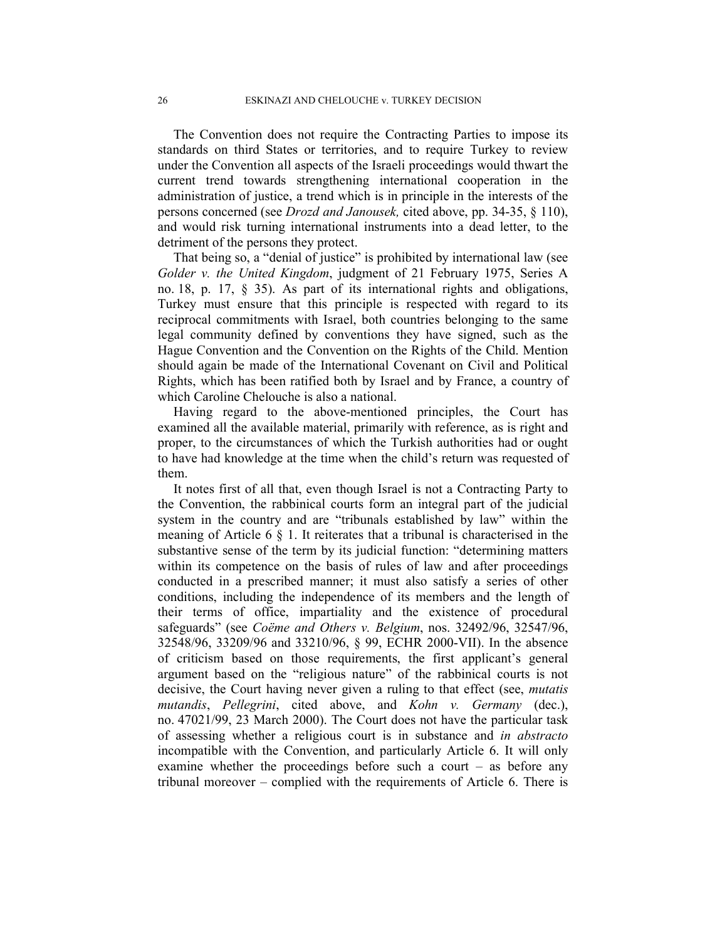The Convention does not require the Contracting Parties to impose its standards on third States or territories, and to require Turkey to review under the Convention all aspects of the Israeli proceedings would thwart the current trend towards strengthening international cooperation in the administration of justice, a trend which is in principle in the interests of the persons concerned (see Drozd and Janousek, cited above, pp. 34-35, § 110), and would risk turning international instruments into a dead letter, to the detriment of the persons they protect.

That being so, a "denial of justice" is prohibited by international law (see Golder v. the United Kingdom, judgment of 21 February 1975, Series A no. 18, p. 17, § 35). As part of its international rights and obligations, Turkey must ensure that this principle is respected with regard to its reciprocal commitments with Israel, both countries belonging to the same legal community defined by conventions they have signed, such as the Hague Convention and the Convention on the Rights of the Child. Mention should again be made of the International Covenant on Civil and Political Rights, which has been ratified both by Israel and by France, a country of which Caroline Chelouche is also a national.

Having regard to the above-mentioned principles, the Court has examined all the available material, primarily with reference, as is right and proper, to the circumstances of which the Turkish authorities had or ought to have had knowledge at the time when the child's return was requested of them.

It notes first of all that, even though Israel is not a Contracting Party to the Convention, the rabbinical courts form an integral part of the judicial system in the country and are "tribunals established by law" within the meaning of Article 6 § 1. It reiterates that a tribunal is characterised in the substantive sense of the term by its judicial function: "determining matters within its competence on the basis of rules of law and after proceedings conducted in a prescribed manner; it must also satisfy a series of other conditions, including the independence of its members and the length of their terms of office, impartiality and the existence of procedural safeguards" (see Coëme and Others v. Belgium, nos. 32492/96, 32547/96, 32548/96, 33209/96 and 33210/96, § 99, ECHR 2000-VII). In the absence of criticism based on those requirements, the first applicant's general argument based on the "religious nature" of the rabbinical courts is not decisive, the Court having never given a ruling to that effect (see, mutatis mutandis, Pellegrini, cited above, and Kohn v. Germany (dec.), no. 47021/99, 23 March 2000). The Court does not have the particular task of assessing whether a religious court is in substance and in abstracto incompatible with the Convention, and particularly Article 6. It will only examine whether the proceedings before such a court – as before any tribunal moreover – complied with the requirements of Article 6. There is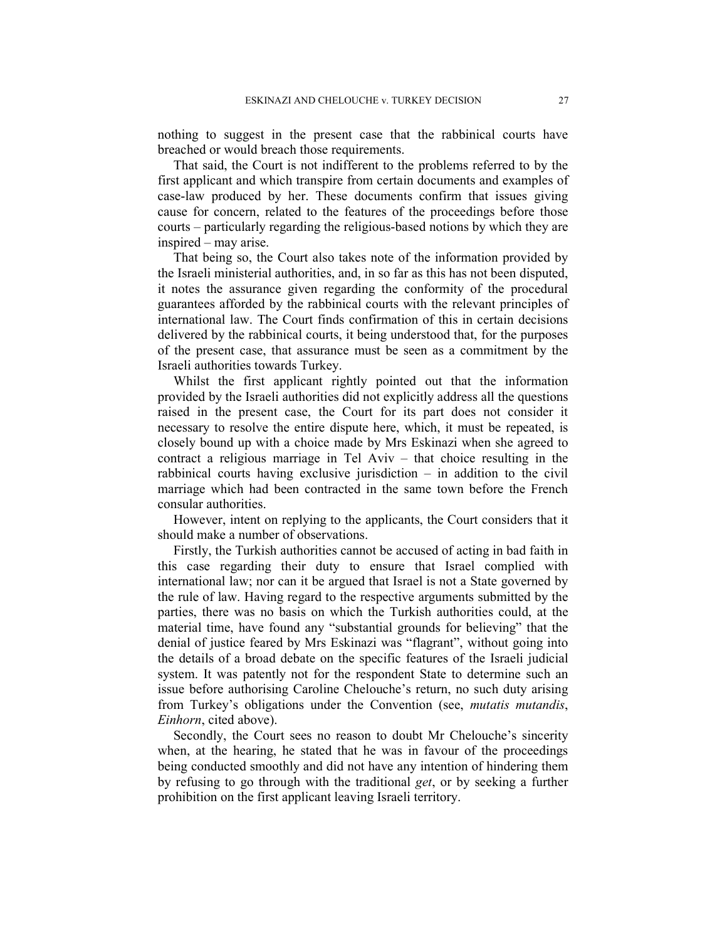nothing to suggest in the present case that the rabbinical courts have breached or would breach those requirements.

That said, the Court is not indifferent to the problems referred to by the first applicant and which transpire from certain documents and examples of case-law produced by her. These documents confirm that issues giving cause for concern, related to the features of the proceedings before those courts – particularly regarding the religious-based notions by which they are inspired – may arise.

That being so, the Court also takes note of the information provided by the Israeli ministerial authorities, and, in so far as this has not been disputed, it notes the assurance given regarding the conformity of the procedural guarantees afforded by the rabbinical courts with the relevant principles of international law. The Court finds confirmation of this in certain decisions delivered by the rabbinical courts, it being understood that, for the purposes of the present case, that assurance must be seen as a commitment by the Israeli authorities towards Turkey.

Whilst the first applicant rightly pointed out that the information provided by the Israeli authorities did not explicitly address all the questions raised in the present case, the Court for its part does not consider it necessary to resolve the entire dispute here, which, it must be repeated, is closely bound up with a choice made by Mrs Eskinazi when she agreed to contract a religious marriage in Tel Aviv – that choice resulting in the rabbinical courts having exclusive jurisdiction – in addition to the civil marriage which had been contracted in the same town before the French consular authorities.

However, intent on replying to the applicants, the Court considers that it should make a number of observations.

Firstly, the Turkish authorities cannot be accused of acting in bad faith in this case regarding their duty to ensure that Israel complied with international law; nor can it be argued that Israel is not a State governed by the rule of law. Having regard to the respective arguments submitted by the parties, there was no basis on which the Turkish authorities could, at the material time, have found any "substantial grounds for believing" that the denial of justice feared by Mrs Eskinazi was "flagrant", without going into the details of a broad debate on the specific features of the Israeli judicial system. It was patently not for the respondent State to determine such an issue before authorising Caroline Chelouche's return, no such duty arising from Turkey's obligations under the Convention (see, *mutatis mutandis*, Einhorn, cited above).

Secondly, the Court sees no reason to doubt Mr Chelouche's sincerity when, at the hearing, he stated that he was in favour of the proceedings being conducted smoothly and did not have any intention of hindering them by refusing to go through with the traditional get, or by seeking a further prohibition on the first applicant leaving Israeli territory.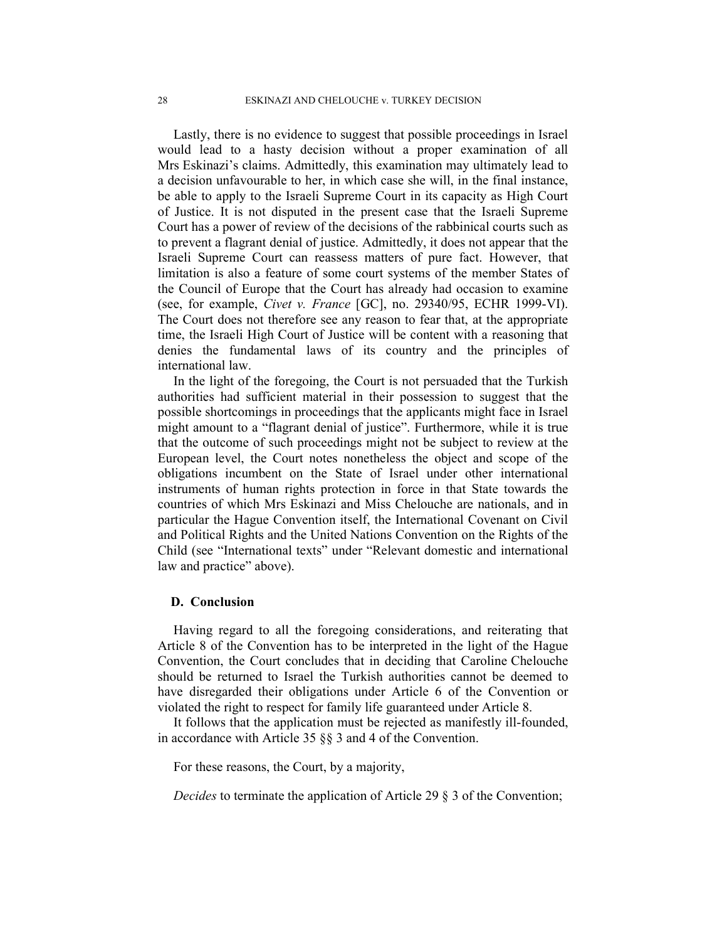Lastly, there is no evidence to suggest that possible proceedings in Israel would lead to a hasty decision without a proper examination of all Mrs Eskinazi's claims. Admittedly, this examination may ultimately lead to a decision unfavourable to her, in which case she will, in the final instance, be able to apply to the Israeli Supreme Court in its capacity as High Court of Justice. It is not disputed in the present case that the Israeli Supreme Court has a power of review of the decisions of the rabbinical courts such as to prevent a flagrant denial of justice. Admittedly, it does not appear that the Israeli Supreme Court can reassess matters of pure fact. However, that limitation is also a feature of some court systems of the member States of the Council of Europe that the Court has already had occasion to examine (see, for example, Civet v. France [GC], no. 29340/95, ECHR 1999-VI). The Court does not therefore see any reason to fear that, at the appropriate time, the Israeli High Court of Justice will be content with a reasoning that denies the fundamental laws of its country and the principles of international law.

In the light of the foregoing, the Court is not persuaded that the Turkish authorities had sufficient material in their possession to suggest that the possible shortcomings in proceedings that the applicants might face in Israel might amount to a "flagrant denial of justice". Furthermore, while it is true that the outcome of such proceedings might not be subject to review at the European level, the Court notes nonetheless the object and scope of the obligations incumbent on the State of Israel under other international instruments of human rights protection in force in that State towards the countries of which Mrs Eskinazi and Miss Chelouche are nationals, and in particular the Hague Convention itself, the International Covenant on Civil and Political Rights and the United Nations Convention on the Rights of the Child (see "International texts" under "Relevant domestic and international law and practice" above).

# D. Conclusion

Having regard to all the foregoing considerations, and reiterating that Article 8 of the Convention has to be interpreted in the light of the Hague Convention, the Court concludes that in deciding that Caroline Chelouche should be returned to Israel the Turkish authorities cannot be deemed to have disregarded their obligations under Article 6 of the Convention or violated the right to respect for family life guaranteed under Article 8.

It follows that the application must be rejected as manifestly ill-founded, in accordance with Article 35 §§ 3 and 4 of the Convention.

For these reasons, the Court, by a majority,

Decides to terminate the application of Article 29 § 3 of the Convention;